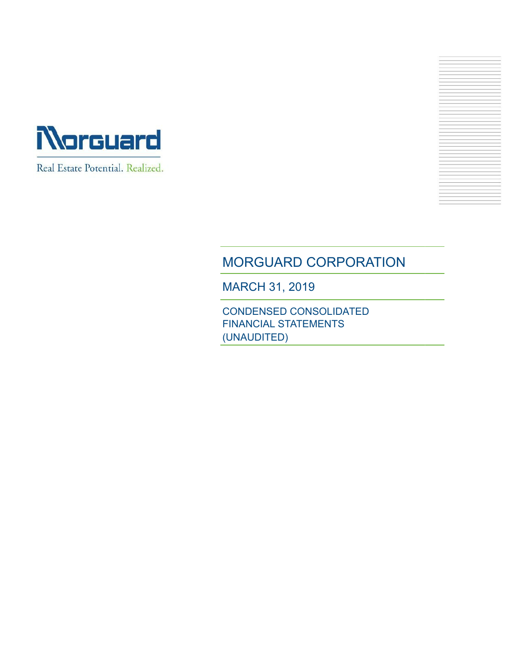



# MORGUARD CORPORATION

MARCH 31, 2019

CONDENSED CONSOLIDATED FINANCIAL STATEMENTS (UNAUDITED)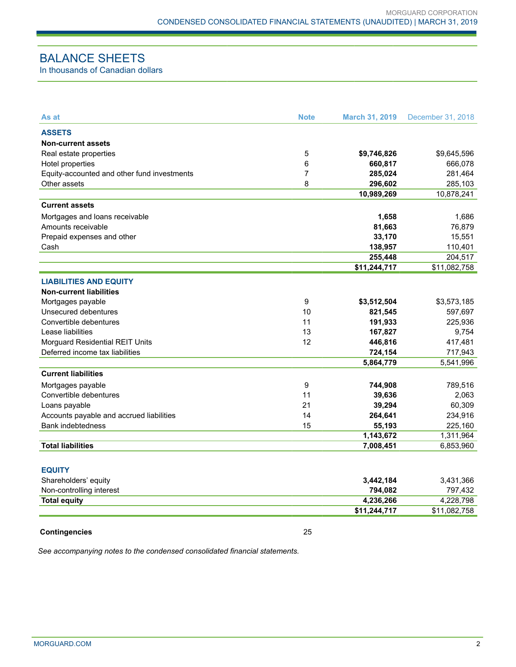# BALANCE SHEETS

In thousands of Canadian dollars

| As at                                       | <b>Note</b> | <b>March 31, 2019</b> | December 31, 2018 |
|---------------------------------------------|-------------|-----------------------|-------------------|
| <b>ASSETS</b>                               |             |                       |                   |
| <b>Non-current assets</b>                   |             |                       |                   |
| Real estate properties                      | 5           | \$9,746,826           | \$9,645,596       |
| Hotel properties                            | 6           | 660,817               | 666,078           |
| Equity-accounted and other fund investments | 7           | 285,024               | 281,464           |
| Other assets                                | 8           | 296,602               | 285,103           |
|                                             |             | 10,989,269            | 10,878,241        |
| <b>Current assets</b>                       |             |                       |                   |
| Mortgages and loans receivable              |             | 1,658                 | 1,686             |
| Amounts receivable                          |             | 81,663                | 76,879            |
| Prepaid expenses and other                  |             | 33,170                | 15,551            |
| Cash                                        |             | 138,957               | 110,401           |
|                                             |             | 255,448               | 204,517           |
|                                             |             | \$11,244,717          | \$11,082,758      |
| <b>LIABILITIES AND EQUITY</b>               |             |                       |                   |
| <b>Non-current liabilities</b>              |             |                       |                   |
| Mortgages payable                           | 9           | \$3,512,504           | \$3,573,185       |
| Unsecured debentures                        | 10          | 821,545               | 597,697           |
| Convertible debentures                      | 11          | 191,933               | 225,936           |
| Lease liabilities                           | 13          | 167,827               | 9,754             |
| Morguard Residential REIT Units             | 12          | 446,816               | 417,481           |
| Deferred income tax liabilities             |             | 724,154               | 717,943           |
|                                             |             | 5,864,779             | 5,541,996         |
| <b>Current liabilities</b>                  |             |                       |                   |
| Mortgages payable                           | 9           | 744,908               | 789,516           |
| Convertible debentures                      | 11          | 39,636                | 2,063             |
| Loans payable                               | 21          | 39,294                | 60,309            |
| Accounts payable and accrued liabilities    | 14          | 264,641               | 234,916           |
| <b>Bank indebtedness</b>                    | 15          | 55,193                | 225,160           |
|                                             |             | 1,143,672             | 1,311,964         |
| <b>Total liabilities</b>                    |             | 7,008,451             | 6,853,960         |
|                                             |             |                       |                   |
| <b>EQUITY</b>                               |             |                       |                   |
| Shareholders' equity                        |             | 3,442,184             | 3,431,366         |
| Non-controlling interest                    |             | 794,082               | 797,432           |
| <b>Total equity</b>                         |             | 4,236,266             | 4,228,798         |
|                                             |             | \$11,244,717          | \$11,082,758      |

#### **Contingencies** 25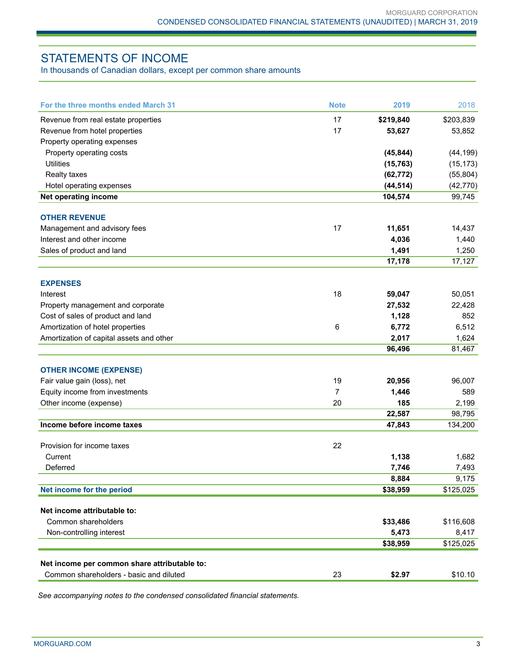# STATEMENTS OF INCOME

In thousands of Canadian dollars, except per common share amounts

| For the three months ended March 31          | <b>Note</b>    | 2019      | 2018      |
|----------------------------------------------|----------------|-----------|-----------|
| Revenue from real estate properties          | 17             | \$219,840 | \$203,839 |
| Revenue from hotel properties                | 17             | 53,627    | 53,852    |
| Property operating expenses                  |                |           |           |
| Property operating costs                     |                | (45, 844) | (44, 199) |
| <b>Utilities</b>                             |                | (15, 763) | (15, 173) |
| Realty taxes                                 |                | (62, 772) | (55, 804) |
| Hotel operating expenses                     |                | (44, 514) | (42, 770) |
| Net operating income                         |                | 104,574   | 99,745    |
| <b>OTHER REVENUE</b>                         |                |           |           |
| Management and advisory fees                 | 17             | 11,651    | 14,437    |
| Interest and other income                    |                | 4,036     | 1,440     |
| Sales of product and land                    |                | 1,491     | 1,250     |
|                                              |                | 17,178    | 17,127    |
| <b>EXPENSES</b>                              |                |           |           |
|                                              | 18             |           |           |
| Interest                                     |                | 59,047    | 50,051    |
| Property management and corporate            |                | 27,532    | 22,428    |
| Cost of sales of product and land            |                | 1,128     | 852       |
| Amortization of hotel properties             | 6              | 6,772     | 6,512     |
| Amortization of capital assets and other     |                | 2,017     | 1,624     |
|                                              |                | 96,496    | 81,467    |
| <b>OTHER INCOME (EXPENSE)</b>                |                |           |           |
| Fair value gain (loss), net                  | 19             | 20,956    | 96,007    |
| Equity income from investments               | $\overline{7}$ | 1,446     | 589       |
| Other income (expense)                       | 20             | 185       | 2,199     |
|                                              |                | 22,587    | 98,795    |
| Income before income taxes                   |                | 47,843    | 134,200   |
| Provision for income taxes                   | 22             |           |           |
| Current                                      |                | 1,138     | 1,682     |
| Deferred                                     |                | 7,746     | 7,493     |
|                                              |                | 8,884     | 9,175     |
| Net income for the period                    |                | \$38,959  | \$125,025 |
| Net income attributable to:                  |                |           |           |
| Common shareholders                          |                | \$33,486  | \$116,608 |
| Non-controlling interest                     |                | 5,473     | 8,417     |
|                                              |                | \$38,959  | \$125,025 |
| Net income per common share attributable to: |                |           |           |
| Common shareholders - basic and diluted      | 23             | \$2.97    | \$10.10   |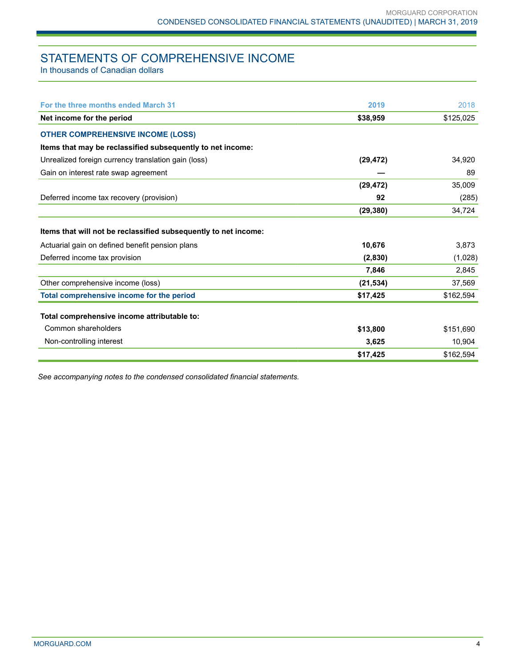# STATEMENTS OF COMPREHENSIVE INCOME

In thousands of Canadian dollars

| For the three months ended March 31                             | 2019      | 2018      |
|-----------------------------------------------------------------|-----------|-----------|
| Net income for the period                                       | \$38,959  | \$125,025 |
| <b>OTHER COMPREHENSIVE INCOME (LOSS)</b>                        |           |           |
| Items that may be reclassified subsequently to net income:      |           |           |
| Unrealized foreign currency translation gain (loss)             | (29, 472) | 34,920    |
| Gain on interest rate swap agreement                            |           | 89        |
|                                                                 | (29, 472) | 35,009    |
| Deferred income tax recovery (provision)                        | 92        | (285)     |
|                                                                 | (29, 380) | 34,724    |
| Items that will not be reclassified subsequently to net income: |           |           |
| Actuarial gain on defined benefit pension plans                 | 10,676    | 3,873     |
| Deferred income tax provision                                   | (2,830)   | (1,028)   |
|                                                                 | 7,846     | 2,845     |
| Other comprehensive income (loss)                               | (21, 534) | 37,569    |
| Total comprehensive income for the period                       | \$17,425  | \$162,594 |
| Total comprehensive income attributable to:                     |           |           |
| Common shareholders                                             | \$13,800  | \$151,690 |
| Non-controlling interest                                        | 3,625     | 10,904    |
|                                                                 | \$17,425  | \$162,594 |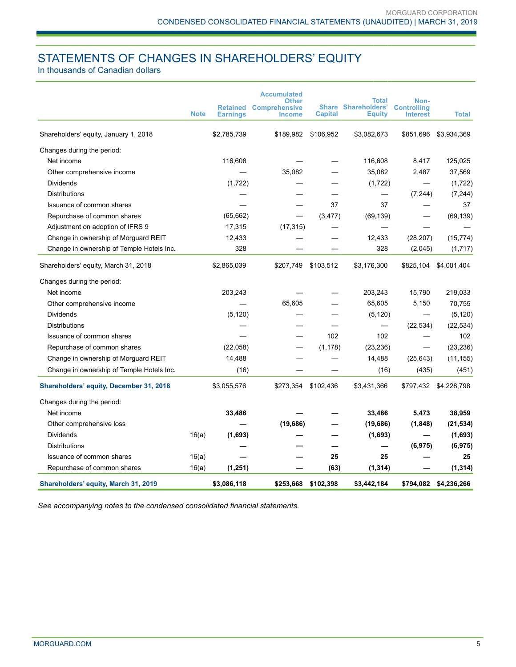# STATEMENTS OF CHANGES IN SHAREHOLDERS' EQUITY

In thousands of Canadian dollars

|                                                |             |                 | <b>Accumulated</b>            |                | <b>Total</b>               |                            |                       |
|------------------------------------------------|-------------|-----------------|-------------------------------|----------------|----------------------------|----------------------------|-----------------------|
|                                                |             | <b>Retained</b> | Other<br><b>Comprehensive</b> |                | <b>Share Shareholders'</b> | Non-<br><b>Controlling</b> |                       |
|                                                | <b>Note</b> | <b>Earnings</b> | <b>Income</b>                 | <b>Capital</b> | <b>Equity</b>              | <b>Interest</b>            | <b>Total</b>          |
| Shareholders' equity, January 1, 2018          |             | \$2,785,739     | \$189,982                     | \$106,952      | \$3,082,673                | \$851,696                  | \$3,934,369           |
| Changes during the period:                     |             |                 |                               |                |                            |                            |                       |
| Net income                                     |             | 116,608         |                               |                | 116,608                    | 8,417                      | 125,025               |
| Other comprehensive income                     |             |                 | 35,082                        |                | 35,082                     | 2,487                      | 37,569                |
| Dividends                                      |             | (1,722)         |                               |                | (1, 722)                   |                            | (1,722)               |
| <b>Distributions</b>                           |             |                 |                               |                |                            | (7, 244)                   | (7, 244)              |
| Issuance of common shares                      |             |                 |                               | 37             | 37                         |                            | 37                    |
| Repurchase of common shares                    |             | (65, 662)       |                               | (3, 477)       | (69, 139)                  |                            | (69, 139)             |
| Adjustment on adoption of IFRS 9               |             | 17,315          | (17, 315)                     |                |                            |                            |                       |
| Change in ownership of Morguard REIT           |             | 12,433          |                               |                | 12,433                     | (28, 207)                  | (15, 774)             |
| Change in ownership of Temple Hotels Inc.      |             | 328             |                               |                | 328                        | (2,045)                    | (1,717)               |
| Shareholders' equity, March 31, 2018           |             | \$2,865,039     | \$207,749                     | \$103,512      | \$3,176,300                | \$825,104                  | \$4,001,404           |
| Changes during the period:                     |             |                 |                               |                |                            |                            |                       |
| Net income                                     |             | 203,243         |                               |                | 203,243                    | 15,790                     | 219,033               |
| Other comprehensive income                     |             |                 | 65,605                        |                | 65,605                     | 5,150                      | 70,755                |
| Dividends                                      |             | (5, 120)        |                               |                | (5, 120)                   |                            | (5, 120)              |
| Distributions                                  |             |                 |                               |                | $\qquad \qquad -$          | (22, 534)                  | (22, 534)             |
| Issuance of common shares                      |             |                 |                               | 102            | 102                        |                            | 102                   |
| Repurchase of common shares                    |             | (22,058)        |                               | (1, 178)       | (23, 236)                  |                            | (23, 236)             |
| Change in ownership of Morguard REIT           |             | 14,488          |                               |                | 14,488                     | (25, 643)                  | (11, 155)             |
| Change in ownership of Temple Hotels Inc.      |             | (16)            |                               |                | (16)                       | (435)                      | (451)                 |
| <b>Shareholders' equity, December 31, 2018</b> |             | \$3,055,576     | \$273,354                     | \$102,436      | \$3,431,366                | \$797,432                  | \$4,228,798           |
| Changes during the period:                     |             |                 |                               |                |                            |                            |                       |
| Net income                                     |             | 33,486          |                               |                | 33,486                     | 5,473                      | 38,959                |
| Other comprehensive loss                       |             |                 | (19,686)                      |                | (19, 686)                  | (1, 848)                   | (21, 534)             |
| <b>Dividends</b>                               | 16(a)       | (1,693)         |                               |                | (1,693)                    |                            | (1,693)               |
| <b>Distributions</b>                           |             |                 |                               |                |                            | (6, 975)                   | (6, 975)              |
| Issuance of common shares                      | 16(a)       |                 |                               | 25             | 25                         |                            | 25                    |
| Repurchase of common shares                    | 16(a)       | (1, 251)        |                               | (63)           | (1, 314)                   |                            | (1, 314)              |
| Shareholders' equity, March 31, 2019           |             | \$3,086,118     | \$253,668                     | \$102,398      | \$3,442,184                |                            | \$794,082 \$4,236,266 |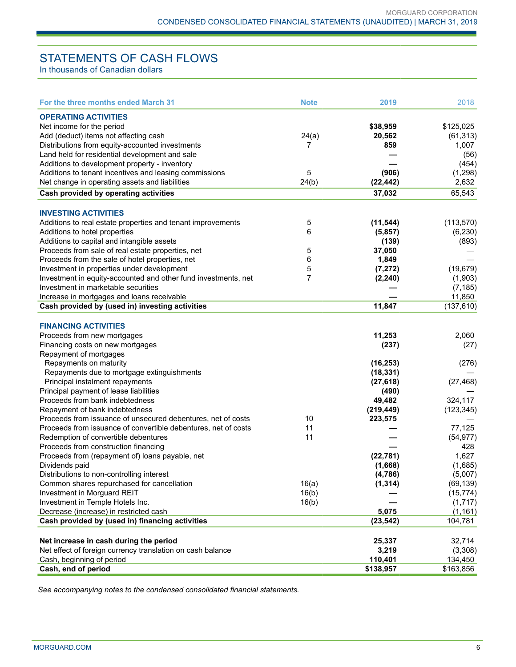# STATEMENTS OF CASH FLOWS

In thousands of Canadian dollars

| <b>OPERATING ACTIVITIES</b><br>Net income for the period<br>\$38,959<br>\$125,025<br>Add (deduct) items not affecting cash<br>24(a)<br>20,562<br>(61, 313)<br>Distributions from equity-accounted investments<br>859<br>7<br>Land held for residential development and sale<br>Additions to development property - inventory<br>Additions to tenant incentives and leasing commissions<br>5<br>(906)<br>24(b)<br>Net change in operating assets and liabilities<br>(22, 442)<br>65,543<br>Cash provided by operating activities<br>37,032<br><b>INVESTING ACTIVITIES</b><br>Additions to real estate properties and tenant improvements<br>5<br>(11, 544)<br>(113, 570)<br>6<br>Additions to hotel properties<br>(5,857)<br>Additions to capital and intangible assets<br>(139)<br>5<br>Proceeds from sale of real estate properties, net<br>37,050<br>6<br>1,849<br>Proceeds from the sale of hotel properties, net<br>Investment in properties under development<br>5<br>(19, 679)<br>(7, 272) |          |
|--------------------------------------------------------------------------------------------------------------------------------------------------------------------------------------------------------------------------------------------------------------------------------------------------------------------------------------------------------------------------------------------------------------------------------------------------------------------------------------------------------------------------------------------------------------------------------------------------------------------------------------------------------------------------------------------------------------------------------------------------------------------------------------------------------------------------------------------------------------------------------------------------------------------------------------------------------------------------------------------------|----------|
|                                                                                                                                                                                                                                                                                                                                                                                                                                                                                                                                                                                                                                                                                                                                                                                                                                                                                                                                                                                                  |          |
|                                                                                                                                                                                                                                                                                                                                                                                                                                                                                                                                                                                                                                                                                                                                                                                                                                                                                                                                                                                                  |          |
|                                                                                                                                                                                                                                                                                                                                                                                                                                                                                                                                                                                                                                                                                                                                                                                                                                                                                                                                                                                                  |          |
|                                                                                                                                                                                                                                                                                                                                                                                                                                                                                                                                                                                                                                                                                                                                                                                                                                                                                                                                                                                                  | 1,007    |
|                                                                                                                                                                                                                                                                                                                                                                                                                                                                                                                                                                                                                                                                                                                                                                                                                                                                                                                                                                                                  | (56)     |
|                                                                                                                                                                                                                                                                                                                                                                                                                                                                                                                                                                                                                                                                                                                                                                                                                                                                                                                                                                                                  | (454)    |
|                                                                                                                                                                                                                                                                                                                                                                                                                                                                                                                                                                                                                                                                                                                                                                                                                                                                                                                                                                                                  | (1,298)  |
|                                                                                                                                                                                                                                                                                                                                                                                                                                                                                                                                                                                                                                                                                                                                                                                                                                                                                                                                                                                                  | 2,632    |
|                                                                                                                                                                                                                                                                                                                                                                                                                                                                                                                                                                                                                                                                                                                                                                                                                                                                                                                                                                                                  |          |
|                                                                                                                                                                                                                                                                                                                                                                                                                                                                                                                                                                                                                                                                                                                                                                                                                                                                                                                                                                                                  |          |
|                                                                                                                                                                                                                                                                                                                                                                                                                                                                                                                                                                                                                                                                                                                                                                                                                                                                                                                                                                                                  |          |
|                                                                                                                                                                                                                                                                                                                                                                                                                                                                                                                                                                                                                                                                                                                                                                                                                                                                                                                                                                                                  |          |
|                                                                                                                                                                                                                                                                                                                                                                                                                                                                                                                                                                                                                                                                                                                                                                                                                                                                                                                                                                                                  | (6, 230) |
|                                                                                                                                                                                                                                                                                                                                                                                                                                                                                                                                                                                                                                                                                                                                                                                                                                                                                                                                                                                                  | (893)    |
|                                                                                                                                                                                                                                                                                                                                                                                                                                                                                                                                                                                                                                                                                                                                                                                                                                                                                                                                                                                                  |          |
|                                                                                                                                                                                                                                                                                                                                                                                                                                                                                                                                                                                                                                                                                                                                                                                                                                                                                                                                                                                                  |          |
|                                                                                                                                                                                                                                                                                                                                                                                                                                                                                                                                                                                                                                                                                                                                                                                                                                                                                                                                                                                                  |          |
| 7<br>Investment in equity-accounted and other fund investments, net<br>(2, 240)                                                                                                                                                                                                                                                                                                                                                                                                                                                                                                                                                                                                                                                                                                                                                                                                                                                                                                                  | (1,903)  |
| Investment in marketable securities                                                                                                                                                                                                                                                                                                                                                                                                                                                                                                                                                                                                                                                                                                                                                                                                                                                                                                                                                              | (7, 185) |
| 11,850<br>Increase in mortgages and loans receivable                                                                                                                                                                                                                                                                                                                                                                                                                                                                                                                                                                                                                                                                                                                                                                                                                                                                                                                                             |          |
| 11,847<br>Cash provided by (used in) investing activities<br>(137, 610)                                                                                                                                                                                                                                                                                                                                                                                                                                                                                                                                                                                                                                                                                                                                                                                                                                                                                                                          |          |
| <b>FINANCING ACTIVITIES</b>                                                                                                                                                                                                                                                                                                                                                                                                                                                                                                                                                                                                                                                                                                                                                                                                                                                                                                                                                                      |          |
| 11,253<br>Proceeds from new mortgages                                                                                                                                                                                                                                                                                                                                                                                                                                                                                                                                                                                                                                                                                                                                                                                                                                                                                                                                                            | 2,060    |
| Financing costs on new mortgages<br>(237)                                                                                                                                                                                                                                                                                                                                                                                                                                                                                                                                                                                                                                                                                                                                                                                                                                                                                                                                                        | (27)     |
| Repayment of mortgages                                                                                                                                                                                                                                                                                                                                                                                                                                                                                                                                                                                                                                                                                                                                                                                                                                                                                                                                                                           |          |
|                                                                                                                                                                                                                                                                                                                                                                                                                                                                                                                                                                                                                                                                                                                                                                                                                                                                                                                                                                                                  |          |
| Repayments on maturity<br>(16, 253)                                                                                                                                                                                                                                                                                                                                                                                                                                                                                                                                                                                                                                                                                                                                                                                                                                                                                                                                                              | (276)    |
| Repayments due to mortgage extinguishments<br>(18, 331)                                                                                                                                                                                                                                                                                                                                                                                                                                                                                                                                                                                                                                                                                                                                                                                                                                                                                                                                          |          |
| (27, 468)<br>Principal instalment repayments<br>(27, 618)                                                                                                                                                                                                                                                                                                                                                                                                                                                                                                                                                                                                                                                                                                                                                                                                                                                                                                                                        |          |
| Principal payment of lease liabilities<br>(490)                                                                                                                                                                                                                                                                                                                                                                                                                                                                                                                                                                                                                                                                                                                                                                                                                                                                                                                                                  |          |
| Proceeds from bank indebtedness<br>49,482<br>324,117                                                                                                                                                                                                                                                                                                                                                                                                                                                                                                                                                                                                                                                                                                                                                                                                                                                                                                                                             |          |
| (123, 345)<br>Repayment of bank indebtedness<br>(219, 449)                                                                                                                                                                                                                                                                                                                                                                                                                                                                                                                                                                                                                                                                                                                                                                                                                                                                                                                                       |          |
| 10<br>Proceeds from issuance of unsecured debentures, net of costs<br>223,575                                                                                                                                                                                                                                                                                                                                                                                                                                                                                                                                                                                                                                                                                                                                                                                                                                                                                                                    |          |
| 11<br>77,125<br>Proceeds from issuance of convertible debentures, net of costs                                                                                                                                                                                                                                                                                                                                                                                                                                                                                                                                                                                                                                                                                                                                                                                                                                                                                                                   |          |
| 11<br>Redemption of convertible debentures<br>(54, 977)                                                                                                                                                                                                                                                                                                                                                                                                                                                                                                                                                                                                                                                                                                                                                                                                                                                                                                                                          |          |
| Proceeds from construction financing                                                                                                                                                                                                                                                                                                                                                                                                                                                                                                                                                                                                                                                                                                                                                                                                                                                                                                                                                             | 428      |
| Proceeds from (repayment of) loans payable, net<br>(22, 781)                                                                                                                                                                                                                                                                                                                                                                                                                                                                                                                                                                                                                                                                                                                                                                                                                                                                                                                                     | 1,627    |
| Dividends paid<br>(1,668)                                                                                                                                                                                                                                                                                                                                                                                                                                                                                                                                                                                                                                                                                                                                                                                                                                                                                                                                                                        | (1,685)  |
| Distributions to non-controlling interest<br>(4,786)                                                                                                                                                                                                                                                                                                                                                                                                                                                                                                                                                                                                                                                                                                                                                                                                                                                                                                                                             | (5,007)  |
| Common shares repurchased for cancellation<br>16(a)<br>(1, 314)<br>(69, 139)                                                                                                                                                                                                                                                                                                                                                                                                                                                                                                                                                                                                                                                                                                                                                                                                                                                                                                                     |          |
| 16(b)<br>Investment in Morguard REIT<br>(15, 774)                                                                                                                                                                                                                                                                                                                                                                                                                                                                                                                                                                                                                                                                                                                                                                                                                                                                                                                                                |          |
| Investment in Temple Hotels Inc.<br>16(b)                                                                                                                                                                                                                                                                                                                                                                                                                                                                                                                                                                                                                                                                                                                                                                                                                                                                                                                                                        | (1,717)  |
| Decrease (increase) in restricted cash<br>5,075                                                                                                                                                                                                                                                                                                                                                                                                                                                                                                                                                                                                                                                                                                                                                                                                                                                                                                                                                  | (1, 161) |
| Cash provided by (used in) financing activities<br>(23, 542)<br>104,781                                                                                                                                                                                                                                                                                                                                                                                                                                                                                                                                                                                                                                                                                                                                                                                                                                                                                                                          |          |
| Net increase in cash during the period<br>25,337<br>32,714                                                                                                                                                                                                                                                                                                                                                                                                                                                                                                                                                                                                                                                                                                                                                                                                                                                                                                                                       |          |
| Net effect of foreign currency translation on cash balance<br>3,219                                                                                                                                                                                                                                                                                                                                                                                                                                                                                                                                                                                                                                                                                                                                                                                                                                                                                                                              | (3,308)  |
| Cash, beginning of period<br>110,401<br>134,450                                                                                                                                                                                                                                                                                                                                                                                                                                                                                                                                                                                                                                                                                                                                                                                                                                                                                                                                                  |          |
| Cash, end of period<br>\$138,957<br>\$163,856                                                                                                                                                                                                                                                                                                                                                                                                                                                                                                                                                                                                                                                                                                                                                                                                                                                                                                                                                    |          |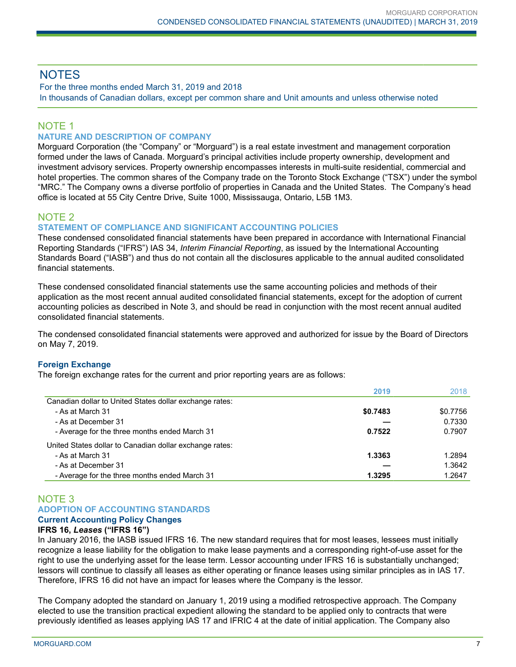# **NOTES**

For the three months ended March 31, 2019 and 2018 In thousands of Canadian dollars, except per common share and Unit amounts and unless otherwise noted

# NOTE 1

### **NATURE AND DESCRIPTION OF COMPANY**

Morguard Corporation (the "Company" or "Morguard") is a real estate investment and management corporation formed under the laws of Canada. Morguard's principal activities include property ownership, development and investment advisory services. Property ownership encompasses interests in multi-suite residential, commercial and hotel properties. The common shares of the Company trade on the Toronto Stock Exchange ("TSX") under the symbol "MRC." The Company owns a diverse portfolio of properties in Canada and the United States. The Company's head office is located at 55 City Centre Drive, Suite 1000, Mississauga, Ontario, L5B 1M3.

## NOTE 2

#### **STATEMENT OF COMPLIANCE AND SIGNIFICANT ACCOUNTING POLICIES**

These condensed consolidated financial statements have been prepared in accordance with International Financial Reporting Standards ("IFRS") IAS 34, *Interim Financial Reporting*, as issued by the International Accounting Standards Board ("IASB") and thus do not contain all the disclosures applicable to the annual audited consolidated financial statements.

These condensed consolidated financial statements use the same accounting policies and methods of their application as the most recent annual audited consolidated financial statements, except for the adoption of current accounting policies as described in Note 3, and should be read in conjunction with the most recent annual audited consolidated financial statements.

The condensed consolidated financial statements were approved and authorized for issue by the Board of Directors on May 7, 2019.

#### **Foreign Exchange**

The foreign exchange rates for the current and prior reporting years are as follows:

|                                                         | 2019     | 2018     |
|---------------------------------------------------------|----------|----------|
| Canadian dollar to United States dollar exchange rates: |          |          |
| - As at March 31                                        | \$0.7483 | \$0.7756 |
| - As at December 31                                     |          | 0.7330   |
| - Average for the three months ended March 31           | 0.7522   | 0.7907   |
| United States dollar to Canadian dollar exchange rates: |          |          |
| - As at March 31                                        | 1.3363   | 1.2894   |
| - As at December 31                                     |          | 1.3642   |
| - Average for the three months ended March 31           | 1.3295   | 1.2647   |

## NOTE 3 **ADOPTION OF ACCOUNTING STANDARDS**

## **Current Accounting Policy Changes**

## **IFRS 16,** *Leases* **("IFRS 16")**

In January 2016, the IASB issued IFRS 16. The new standard requires that for most leases, lessees must initially recognize a lease liability for the obligation to make lease payments and a corresponding right-of-use asset for the right to use the underlying asset for the lease term. Lessor accounting under IFRS 16 is substantially unchanged; lessors will continue to classify all leases as either operating or finance leases using similar principles as in IAS 17. Therefore, IFRS 16 did not have an impact for leases where the Company is the lessor.

The Company adopted the standard on January 1, 2019 using a modified retrospective approach. The Company elected to use the transition practical expedient allowing the standard to be applied only to contracts that were previously identified as leases applying IAS 17 and IFRIC 4 at the date of initial application. The Company also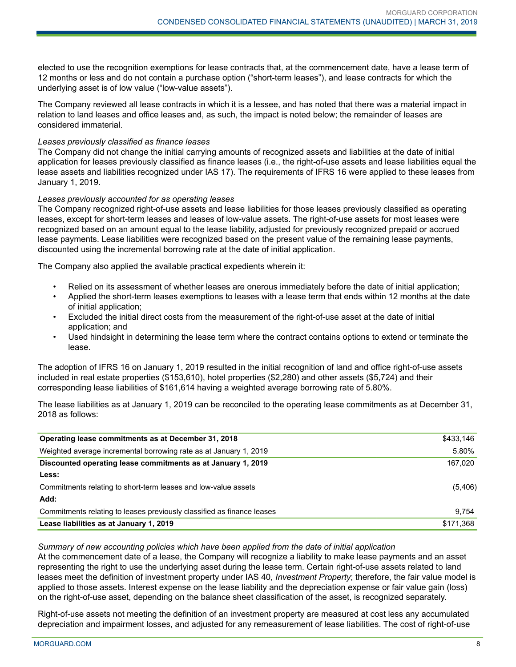elected to use the recognition exemptions for lease contracts that, at the commencement date, have a lease term of 12 months or less and do not contain a purchase option ("short-term leases"), and lease contracts for which the underlying asset is of low value ("low-value assets").

The Company reviewed all lease contracts in which it is a lessee, and has noted that there was a material impact in relation to land leases and office leases and, as such, the impact is noted below; the remainder of leases are considered immaterial.

#### *Leases previously classified as finance leases*

The Company did not change the initial carrying amounts of recognized assets and liabilities at the date of initial application for leases previously classified as finance leases (i.e., the right-of-use assets and lease liabilities equal the lease assets and liabilities recognized under IAS 17). The requirements of IFRS 16 were applied to these leases from January 1, 2019.

#### *Leases previously accounted for as operating leases*

The Company recognized right-of-use assets and lease liabilities for those leases previously classified as operating leases, except for short-term leases and leases of low-value assets. The right-of-use assets for most leases were recognized based on an amount equal to the lease liability, adjusted for previously recognized prepaid or accrued lease payments. Lease liabilities were recognized based on the present value of the remaining lease payments, discounted using the incremental borrowing rate at the date of initial application.

The Company also applied the available practical expedients wherein it:

- Relied on its assessment of whether leases are onerous immediately before the date of initial application;
- Applied the short-term leases exemptions to leases with a lease term that ends within 12 months at the date of initial application;
- Excluded the initial direct costs from the measurement of the right-of-use asset at the date of initial application; and
- Used hindsight in determining the lease term where the contract contains options to extend or terminate the lease.

The adoption of IFRS 16 on January 1, 2019 resulted in the initial recognition of land and office right-of-use assets included in real estate properties (\$153,610), hotel properties (\$2,280) and other assets (\$5,724) and their corresponding lease liabilities of \$161,614 having a weighted average borrowing rate of 5.80%.

The lease liabilities as at January 1, 2019 can be reconciled to the operating lease commitments as at December 31, 2018 as follows:

| Operating lease commitments as at December 31, 2018                    | \$433,146 |
|------------------------------------------------------------------------|-----------|
| Weighted average incremental borrowing rate as at January 1, 2019      | 5.80%     |
| Discounted operating lease commitments as at January 1, 2019           | 167,020   |
| Less:                                                                  |           |
| Commitments relating to short-term leases and low-value assets         | (5,406)   |
| Add:                                                                   |           |
| Commitments relating to leases previously classified as finance leases | 9.754     |
| Lease liabilities as at January 1, 2019                                | \$171,368 |

#### *Summary of new accounting policies which have been applied from the date of initial application*

At the commencement date of a lease, the Company will recognize a liability to make lease payments and an asset representing the right to use the underlying asset during the lease term. Certain right-of-use assets related to land leases meet the definition of investment property under IAS 40, *Investment Property*; therefore, the fair value model is applied to those assets. Interest expense on the lease liability and the depreciation expense or fair value gain (loss) on the right-of-use asset, depending on the balance sheet classification of the asset, is recognized separately.

Right-of-use assets not meeting the definition of an investment property are measured at cost less any accumulated depreciation and impairment losses, and adjusted for any remeasurement of lease liabilities. The cost of right-of-use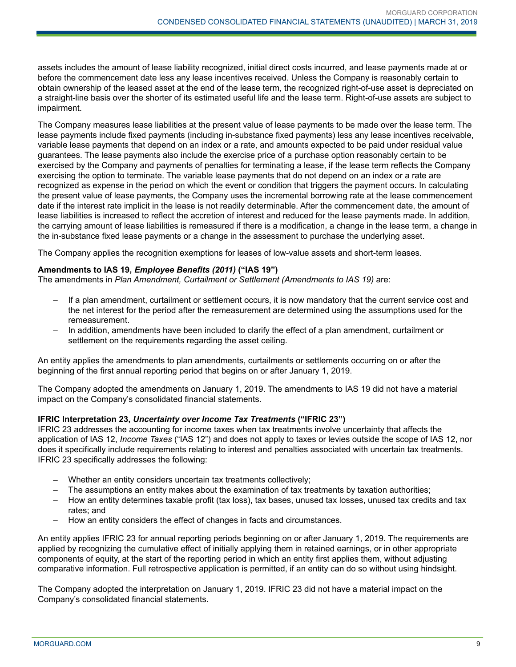assets includes the amount of lease liability recognized, initial direct costs incurred, and lease payments made at or before the commencement date less any lease incentives received. Unless the Company is reasonably certain to obtain ownership of the leased asset at the end of the lease term, the recognized right-of-use asset is depreciated on a straight-line basis over the shorter of its estimated useful life and the lease term. Right-of-use assets are subject to impairment.

The Company measures lease liabilities at the present value of lease payments to be made over the lease term. The lease payments include fixed payments (including in-substance fixed payments) less any lease incentives receivable, variable lease payments that depend on an index or a rate, and amounts expected to be paid under residual value guarantees. The lease payments also include the exercise price of a purchase option reasonably certain to be exercised by the Company and payments of penalties for terminating a lease, if the lease term reflects the Company exercising the option to terminate. The variable lease payments that do not depend on an index or a rate are recognized as expense in the period on which the event or condition that triggers the payment occurs. In calculating the present value of lease payments, the Company uses the incremental borrowing rate at the lease commencement date if the interest rate implicit in the lease is not readily determinable. After the commencement date, the amount of lease liabilities is increased to reflect the accretion of interest and reduced for the lease payments made. In addition, the carrying amount of lease liabilities is remeasured if there is a modification, a change in the lease term, a change in the in-substance fixed lease payments or a change in the assessment to purchase the underlying asset.

The Company applies the recognition exemptions for leases of low-value assets and short-term leases.

#### **Amendments to IAS 19,** *Employee Benefits (2011)* **("IAS 19")**

The amendments in *Plan Amendment, Curtailment or Settlement (Amendments to IAS 19)* are:

- If a plan amendment, curtailment or settlement occurs, it is now mandatory that the current service cost and the net interest for the period after the remeasurement are determined using the assumptions used for the remeasurement.
- In addition, amendments have been included to clarify the effect of a plan amendment, curtailment or settlement on the requirements regarding the asset ceiling.

An entity applies the amendments to plan amendments, curtailments or settlements occurring on or after the beginning of the first annual reporting period that begins on or after January 1, 2019.

The Company adopted the amendments on January 1, 2019. The amendments to IAS 19 did not have a material impact on the Company's consolidated financial statements.

#### **IFRIC Interpretation 23,** *Uncertainty over Income Tax Treatments* **("IFRIC 23")**

IFRIC 23 addresses the accounting for income taxes when tax treatments involve uncertainty that affects the application of IAS 12, *Income Taxes* ("IAS 12") and does not apply to taxes or levies outside the scope of IAS 12, nor does it specifically include requirements relating to interest and penalties associated with uncertain tax treatments. IFRIC 23 specifically addresses the following:

- Whether an entity considers uncertain tax treatments collectively;
- The assumptions an entity makes about the examination of tax treatments by taxation authorities;
- How an entity determines taxable profit (tax loss), tax bases, unused tax losses, unused tax credits and tax rates; and
- How an entity considers the effect of changes in facts and circumstances.

An entity applies IFRIC 23 for annual reporting periods beginning on or after January 1, 2019. The requirements are applied by recognizing the cumulative effect of initially applying them in retained earnings, or in other appropriate components of equity, at the start of the reporting period in which an entity first applies them, without adjusting comparative information. Full retrospective application is permitted, if an entity can do so without using hindsight.

The Company adopted the interpretation on January 1, 2019. IFRIC 23 did not have a material impact on the Company's consolidated financial statements.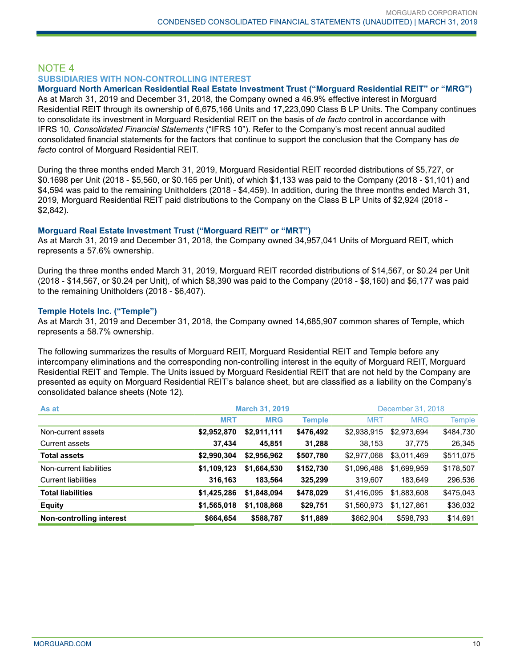## NOTE 4 **SUBSIDIARIES WITH NON-CONTROLLING INTEREST**

#### **Morguard North American Residential Real Estate Investment Trust ("Morguard Residential REIT" or "MRG")**

As at March 31, 2019 and December 31, 2018, the Company owned a 46.9% effective interest in Morguard Residential REIT through its ownership of 6,675,166 Units and 17,223,090 Class B LP Units. The Company continues to consolidate its investment in Morguard Residential REIT on the basis of *de facto* control in accordance with IFRS 10, *Consolidated Financial Statements* ("IFRS 10"). Refer to the Company's most recent annual audited consolidated financial statements for the factors that continue to support the conclusion that the Company has *de facto* control of Morguard Residential REIT.

During the three months ended March 31, 2019, Morguard Residential REIT recorded distributions of \$5,727, or \$0.1698 per Unit (2018 - \$5,560, or \$0.165 per Unit), of which \$1,133 was paid to the Company (2018 - \$1,101) and \$4,594 was paid to the remaining Unitholders (2018 - \$4,459). In addition, during the three months ended March 31, 2019, Morguard Residential REIT paid distributions to the Company on the Class B LP Units of \$2,924 (2018 - \$2,842).

#### **Morguard Real Estate Investment Trust ("Morguard REIT" or "MRT")**

As at March 31, 2019 and December 31, 2018, the Company owned 34,957,041 Units of Morguard REIT, which represents a 57.6% ownership.

During the three months ended March 31, 2019, Morguard REIT recorded distributions of \$14,567, or \$0.24 per Unit (2018 - \$14,567, or \$0.24 per Unit), of which \$8,390 was paid to the Company (2018 - \$8,160) and \$6,177 was paid to the remaining Unitholders (2018 - \$6,407).

#### **Temple Hotels Inc. ("Temple")**

As at March 31, 2019 and December 31, 2018, the Company owned 14,685,907 common shares of Temple, which represents a 58.7% ownership.

The following summarizes the results of Morguard REIT, Morguard Residential REIT and Temple before any intercompany eliminations and the corresponding non-controlling interest in the equity of Morguard REIT, Morguard Residential REIT and Temple. The Units issued by Morguard Residential REIT that are not held by the Company are presented as equity on Morguard Residential REIT's balance sheet, but are classified as a liability on the Company's consolidated balance sheets (Note 12).

| As at                      | <b>March 31, 2019</b> |             |               |             | December 31, 2018 |           |
|----------------------------|-----------------------|-------------|---------------|-------------|-------------------|-----------|
|                            | <b>MRT</b>            | <b>MRG</b>  | <b>Temple</b> | <b>MRT</b>  | <b>MRG</b>        | Temple    |
| Non-current assets         | \$2,952,870           | \$2,911,111 | \$476,492     | \$2,938,915 | \$2,973,694       | \$484,730 |
| Current assets             | 37,434                | 45,851      | 31,288        | 38,153      | 37,775            | 26,345    |
| <b>Total assets</b>        | \$2,990,304           | \$2,956,962 | \$507,780     | \$2,977,068 | \$3,011,469       | \$511,075 |
| Non-current liabilities    | \$1,109,123           | \$1,664,530 | \$152,730     | \$1,096,488 | \$1,699,959       | \$178,507 |
| <b>Current liabilities</b> | 316,163               | 183,564     | 325,299       | 319.607     | 183.649           | 296,536   |
| <b>Total liabilities</b>   | \$1,425,286           | \$1,848,094 | \$478,029     | \$1,416,095 | \$1,883,608       | \$475,043 |
| <b>Equity</b>              | \$1,565,018           | \$1,108,868 | \$29,751      | \$1,560,973 | \$1,127,861       | \$36,032  |
| Non-controlling interest   | \$664,654             | \$588,787   | \$11,889      | \$662,904   | \$598,793         | \$14,691  |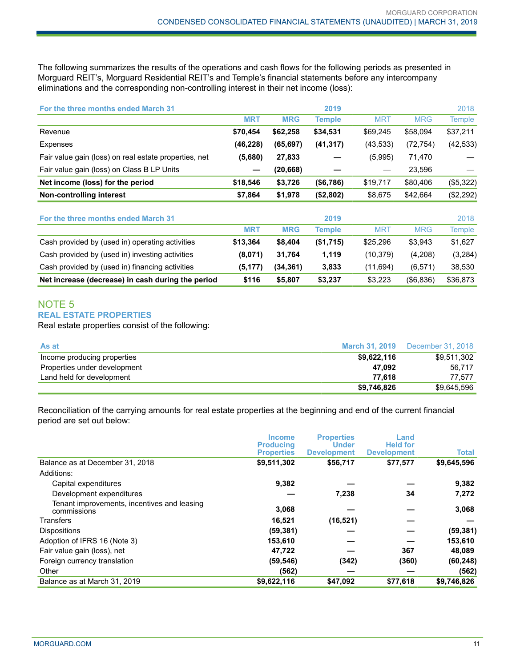The following summarizes the results of the operations and cash flows for the following periods as presented in Morguard REIT's, Morguard Residential REIT's and Temple's financial statements before any intercompany eliminations and the corresponding non-controlling interest in their net income (loss):

| For the three months ended March 31                   |            |            | 2019          |            |            | 2018          |
|-------------------------------------------------------|------------|------------|---------------|------------|------------|---------------|
|                                                       | <b>MRT</b> | <b>MRG</b> | <b>Temple</b> | <b>MRT</b> | <b>MRG</b> | <b>Temple</b> |
| Revenue                                               | \$70,454   | \$62,258   | \$34,531      | \$69,245   | \$58,094   | \$37,211      |
| Expenses                                              | (46, 228)  | (65, 697)  | (41, 317)     | (43, 533)  | (72, 754)  | (42, 533)     |
| Fair value gain (loss) on real estate properties, net | (5,680)    | 27,833     |               | (5,995)    | 71,470     |               |
| Fair value gain (loss) on Class B LP Units            |            | (20, 668)  |               |            | 23,596     |               |
| Net income (loss) for the period                      | \$18,546   | \$3,726    | (\$6,786)     | \$19,717   | \$80,406   | (\$5,322)     |
| Non-controlling interest                              | \$7,864    | \$1,978    | (\$2,802)     | \$8,675    | \$42,664   | (\$2,292)     |
| For the three months ended March 31                   |            |            | 2019          |            |            | 2018          |
|                                                       | <b>MRT</b> | <b>MRG</b> | <b>Temple</b> | <b>MRT</b> | <b>MRG</b> | <b>Temple</b> |
| Cash provided by (used in) operating activities       | \$13,364   | \$8,404    | (\$1,715)     | \$25,296   | \$3,943    | \$1,627       |
| Cash provided by (used in) investing activities       | (8,071)    | 31,764     | 1,119         | (10, 379)  | (4,208)    | (3,284)       |
| Cash provided by (used in) financing activities       | (5, 177)   | (34, 361)  | 3,833         | (11,694)   | (6, 571)   | 38,530        |
| Net increase (decrease) in cash during the period     | \$116      | \$5,807    | \$3,237       | \$3,223    | (\$6,836)  | \$36,873      |

## NOTE 5 **REAL ESTATE PROPERTIES**

Real estate properties consist of the following:

| As at                        | <b>March 31, 2019</b> | December 31, 2018 |
|------------------------------|-----------------------|-------------------|
| Income producing properties  | \$9,622,116           | \$9,511,302       |
| Properties under development | 47.092                | 56.717            |
| Land held for development    | 77.618                | 77.577            |
|                              | \$9,746,826           | \$9,645,596       |

Reconciliation of the carrying amounts for real estate properties at the beginning and end of the current financial period are set out below:

|                                                            | <b>Income</b><br><b>Producing</b> | <b>Properties</b><br><b>Under</b> | Land<br><b>Held for</b> |              |
|------------------------------------------------------------|-----------------------------------|-----------------------------------|-------------------------|--------------|
|                                                            | <b>Properties</b>                 | <b>Development</b>                | <b>Development</b>      | <b>Total</b> |
| Balance as at December 31, 2018                            | \$9,511,302                       | \$56,717                          | \$77,577                | \$9,645,596  |
| Additions:                                                 |                                   |                                   |                         |              |
| Capital expenditures                                       | 9,382                             |                                   |                         | 9,382        |
| Development expenditures                                   |                                   | 7,238                             | 34                      | 7,272        |
| Tenant improvements, incentives and leasing<br>commissions | 3,068                             |                                   |                         | 3,068        |
| Transfers                                                  | 16,521                            | (16, 521)                         |                         |              |
| <b>Dispositions</b>                                        | (59, 381)                         |                                   |                         | (59, 381)    |
| Adoption of IFRS 16 (Note 3)                               | 153,610                           |                                   |                         | 153,610      |
| Fair value gain (loss), net                                | 47,722                            |                                   | 367                     | 48,089       |
| Foreign currency translation                               | (59, 546)                         | (342)                             | (360)                   | (60, 248)    |
| Other                                                      | (562)                             |                                   |                         | (562)        |
| Balance as at March 31, 2019                               | \$9,622,116                       | \$47,092                          | \$77,618                | \$9,746,826  |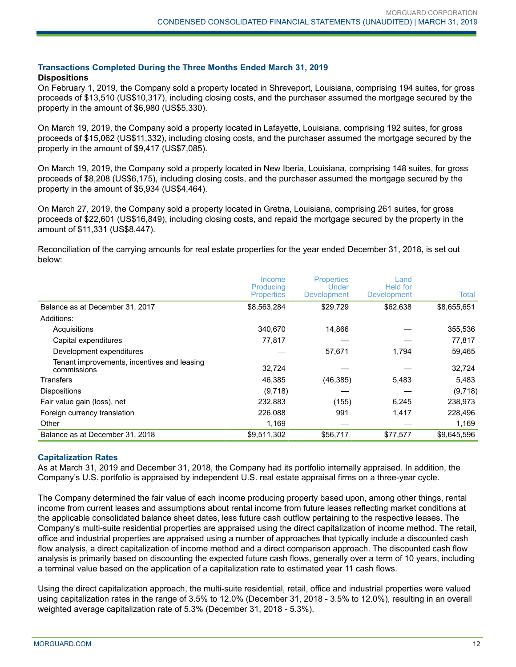## **Transactions Completed During the Three Months Ended March 31, 2019**

#### **Dispositions**

On February 1, 2019, the Company sold a property located in Shreveport, Louisiana, comprising 194 suites, for gross proceeds of \$13,510 (US\$10,317), including closing costs, and the purchaser assumed the mortgage secured by the property in the amount of \$6,980 (US\$5,330).

On March 19, 2019, the Company sold a property located in Lafayette, Louisiana, comprising 192 suites, for gross proceeds of \$15,062 (US\$11,332), including closing costs, and the purchaser assumed the mortgage secured by the property in the amount of \$9,417 (US\$7,085).

On March 19, 2019, the Company sold a property located in New Iberia, Louisiana, comprising 148 suites, for gross proceeds of \$8,208 (US\$6,175), including closing costs, and the purchaser assumed the mortgage secured by the property in the amount of \$5,934 (US\$4,464).

On March 27, 2019, the Company sold a property located in Gretna, Louisiana, comprising 261 suites, for gross proceeds of \$22,601 (US\$16,849), including closing costs, and repaid the mortgage secured by the property in the amount of \$11,331 (US\$8,447).

Reconciliation of the carrying amounts for real estate properties for the year ended December 31, 2018, is set out below:

|                                                            | Income<br>Producing | <b>Properties</b><br>Under | _and<br>Held for   |             |
|------------------------------------------------------------|---------------------|----------------------------|--------------------|-------------|
|                                                            | <b>Properties</b>   | <b>Development</b>         | <b>Development</b> | Total       |
| Balance as at December 31, 2017                            | \$8,563,284         | \$29,729                   | \$62,638           | \$8,655,651 |
| Additions:                                                 |                     |                            |                    |             |
| Acquisitions                                               | 340.670             | 14,866                     |                    | 355,536     |
| Capital expenditures                                       | 77,817              |                            |                    | 77,817      |
| Development expenditures                                   |                     | 57,671                     | 1.794              | 59,465      |
| Tenant improvements, incentives and leasing<br>commissions | 32,724              |                            |                    | 32,724      |
| Transfers                                                  | 46,385              | (46, 385)                  | 5,483              | 5,483       |
| <b>Dispositions</b>                                        | (9,718)             |                            |                    | (9,718)     |
| Fair value gain (loss), net                                | 232,883             | (155)                      | 6,245              | 238,973     |
| Foreign currency translation                               | 226.088             | 991                        | 1,417              | 228,496     |
| Other                                                      | 1,169               |                            |                    | 1,169       |
| Balance as at December 31, 2018                            | \$9,511,302         | \$56,717                   | \$77.577           | \$9.645.596 |

#### **Capitalization Rates**

As at March 31, 2019 and December 31, 2018, the Company had its portfolio internally appraised. In addition, the Company's U.S. portfolio is appraised by independent U.S. real estate appraisal firms on a three-year cycle.

The Company determined the fair value of each income producing property based upon, among other things, rental income from current leases and assumptions about rental income from future leases reflecting market conditions at the applicable consolidated balance sheet dates, less future cash outflow pertaining to the respective leases. The Company's multi-suite residential properties are appraised using the direct capitalization of income method. The retail, office and industrial properties are appraised using a number of approaches that typically include a discounted cash flow analysis, a direct capitalization of income method and a direct comparison approach. The discounted cash flow analysis is primarily based on discounting the expected future cash flows, generally over a term of 10 years, including a terminal value based on the application of a capitalization rate to estimated year 11 cash flows.

Using the direct capitalization approach, the multi-suite residential, retail, office and industrial properties were valued using capitalization rates in the range of 3.5% to 12.0% (December 31, 2018 - 3.5% to 12.0%), resulting in an overall weighted average capitalization rate of 5.3% (December 31, 2018 - 5.3%).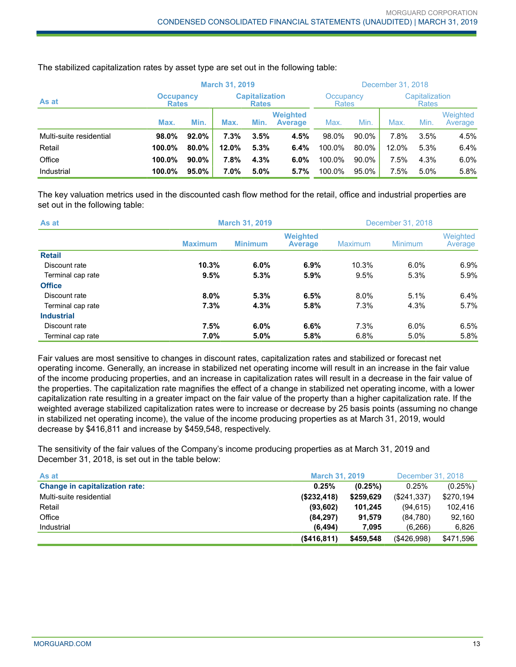|                         |                                  | <b>March 31, 2019</b> |         |                                       |                                   | December 31, 2018         |       |                                |      |                     |
|-------------------------|----------------------------------|-----------------------|---------|---------------------------------------|-----------------------------------|---------------------------|-------|--------------------------------|------|---------------------|
| As at                   | <b>Occupancy</b><br><b>Rates</b> |                       |         | <b>Capitalization</b><br><b>Rates</b> |                                   | Occupancy<br><b>Rates</b> |       | Capitalization<br><b>Rates</b> |      |                     |
|                         | Max.                             | Min.                  | Max.    | Min.                                  | <b>Weighted</b><br><b>Average</b> | Max.                      | Min.  | Max.                           | Min. | Weighted<br>Average |
| Multi-suite residential | 98.0%                            | $92.0\%$              | $7.3\%$ | 3.5%                                  | 4.5%                              | 98.0%                     | 90.0% | 7.8%                           | 3.5% | 4.5%                |
| Retail                  | 100.0%                           | 80.0%                 | 12.0%   | 5.3%                                  | 6.4%                              | 100.0%                    | 80.0% | 12.0%                          | 5.3% | 6.4%                |
| Office                  | 100.0%                           | $90.0\%$              | 7.8%    | 4.3%                                  | 6.0%                              | 100.0%                    | 90.0% | 7.5%                           | 4.3% | 6.0%                |
| Industrial              | 100.0%                           | $95.0\%$              | $7.0\%$ | 5.0%                                  | 5.7%                              | 100.0%                    | 95.0% | 7.5%                           | 5.0% | 5.8%                |

The stabilized capitalization rates by asset type are set out in the following table:

The key valuation metrics used in the discounted cash flow method for the retail, office and industrial properties are set out in the following table:

| As at             |                | <b>March 31, 2019</b> |                                   | December 31, 2018 |                |                     |
|-------------------|----------------|-----------------------|-----------------------------------|-------------------|----------------|---------------------|
|                   | <b>Maximum</b> | <b>Minimum</b>        | <b>Weighted</b><br><b>Average</b> | Maximum           | <b>Minimum</b> | Weighted<br>Average |
| <b>Retail</b>     |                |                       |                                   |                   |                |                     |
| Discount rate     | 10.3%          | 6.0%                  | 6.9%                              | 10.3%             | 6.0%           | 6.9%                |
| Terminal cap rate | 9.5%           | 5.3%                  | 5.9%                              | 9.5%              | 5.3%           | 5.9%                |
| <b>Office</b>     |                |                       |                                   |                   |                |                     |
| Discount rate     | $8.0\%$        | 5.3%                  | 6.5%                              | $8.0\%$           | 5.1%           | 6.4%                |
| Terminal cap rate | 7.3%           | 4.3%                  | 5.8%                              | 7.3%              | 4.3%           | 5.7%                |
| <b>Industrial</b> |                |                       |                                   |                   |                |                     |
| Discount rate     | 7.5%           | 6.0%                  | 6.6%                              | 7.3%              | 6.0%           | 6.5%                |
| Terminal cap rate | 7.0%           | 5.0%                  | 5.8%                              | 6.8%              | $5.0\%$        | 5.8%                |

Fair values are most sensitive to changes in discount rates, capitalization rates and stabilized or forecast net operating income. Generally, an increase in stabilized net operating income will result in an increase in the fair value of the income producing properties, and an increase in capitalization rates will result in a decrease in the fair value of the properties. The capitalization rate magnifies the effect of a change in stabilized net operating income, with a lower capitalization rate resulting in a greater impact on the fair value of the property than a higher capitalization rate. If the weighted average stabilized capitalization rates were to increase or decrease by 25 basis points (assuming no change in stabilized net operating income), the value of the income producing properties as at March 31, 2019, would decrease by \$416,811 and increase by \$459,548, respectively.

The sensitivity of the fair values of the Company's income producing properties as at March 31, 2019 and December 31, 2018, is set out in the table below:

| As at                                 | <b>March 31, 2019</b> |           | December 31, 2018 |           |
|---------------------------------------|-----------------------|-----------|-------------------|-----------|
| <b>Change in capitalization rate:</b> | 0.25%                 | (0.25%)   | 0.25%             | (0.25%)   |
| Multi-suite residential               | (S232, 418)           | \$259,629 | (\$241.337)       | \$270,194 |
| Retail                                | (93, 602)             | 101.245   | (94, 615)         | 102.416   |
| Office                                | (84, 297)             | 91.579    | (84,780)          | 92,160    |
| Industrial                            | (6.494)               | 7.095     | (6.266)           | 6,826     |
|                                       | $($ \$416,811)        | \$459.548 | ( \$426,998)      | \$471,596 |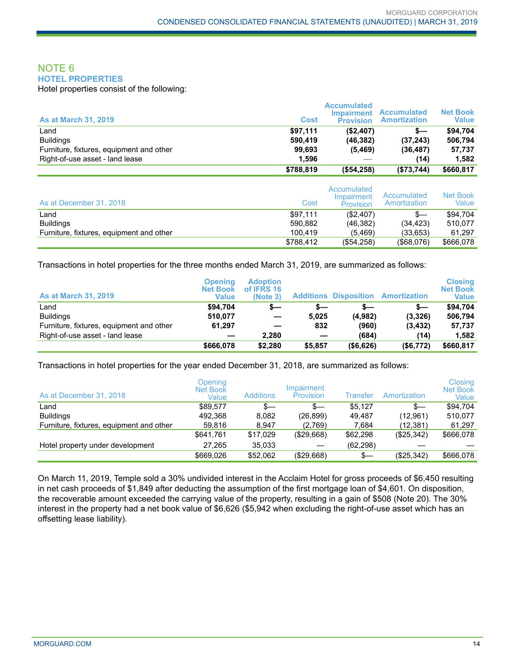## NOTE 6 **HOTEL PROPERTIES**

Hotel properties consist of the following:

| <b>As at March 31, 2019</b>              | <b>Cost</b> | <b>Accumulated</b><br><b>Impairment</b><br><b>Provision</b> | <b>Accumulated</b><br><b>Amortization</b> | <b>Net Book</b><br><b>Value</b> |
|------------------------------------------|-------------|-------------------------------------------------------------|-------------------------------------------|---------------------------------|
| Land                                     | \$97.111    | (\$2,407)                                                   | s—                                        | \$94.704                        |
| <b>Buildings</b>                         | 590.419     | (46, 382)                                                   | (37, 243)                                 | 506.794                         |
| Furniture, fixtures, equipment and other | 99,693      | (5, 469)                                                    | (36, 487)                                 | 57,737                          |
| Right-of-use asset - land lease          | 1.596       |                                                             | (14)                                      | 1.582                           |
|                                          | \$788,819   | (\$54,258)                                                  | (\$73,744)                                | \$660,817                       |

| As at December 31, 2018                  | Cost      | Accumulated<br>Impairment<br><b>Provision</b> | Accumulated<br>Amortization | Net Book<br>Value |
|------------------------------------------|-----------|-----------------------------------------------|-----------------------------|-------------------|
| Land                                     | \$97.111  | (\$2,407)                                     | s—                          | \$94.704          |
| <b>Buildings</b>                         | 590.882   | (46.382)                                      | (34.423)                    | 510.077           |
| Furniture, fixtures, equipment and other | 100.419   | (5, 469)                                      | (33.653)                    | 61.297            |
|                                          | \$788,412 | (\$54,258)                                    | $($ \$68,076)               | \$666.078         |

Transactions in hotel properties for the three months ended March 31, 2019, are summarized as follows:

| <b>As at March 31, 2019</b>              | Openina<br><b>Net Book</b><br>Value | <b>Adoption</b><br>of IFRS 16<br>(Note 3) |         |           | <b>Additions Disposition Amortization</b> | <b>Closing</b><br><b>Net Book</b><br><b>Value</b> |
|------------------------------------------|-------------------------------------|-------------------------------------------|---------|-----------|-------------------------------------------|---------------------------------------------------|
| Land                                     | \$94.704                            | $s-$                                      | s—      | s—        | s—                                        | \$94,704                                          |
| <b>Buildings</b>                         | 510,077                             |                                           | 5.025   | (4,982)   | (3,326)                                   | 506.794                                           |
| Furniture, fixtures, equipment and other | 61,297                              |                                           | 832     | (960)     | (3, 432)                                  | 57,737                                            |
| Right-of-use asset - land lease          |                                     | 2.280                                     |         | (684)     | (14)                                      | 1.582                                             |
|                                          | \$666,078                           | \$2,280                                   | \$5,857 | (\$6,626) | (\$6,772)                                 | \$660,817                                         |

Transactions in hotel properties for the year ended December 31, 2018, are summarized as follows:

| As at December 31, 2018                  | Opening<br><b>Net Book</b><br>Value | <b>Additions</b> | Impairment<br>Provision | Transfer  | Amortization | Closing<br>Net Book<br>Value |
|------------------------------------------|-------------------------------------|------------------|-------------------------|-----------|--------------|------------------------------|
| Land                                     | \$89,577                            | $s-$             | $s-$                    | \$5,127   | $s-$         | \$94.704                     |
| <b>Buildings</b>                         | 492.368                             | 8.082            | (26, 899)               | 49.487    | (12,961)     | 510.077                      |
| Furniture, fixtures, equipment and other | 59.816                              | 8.947            | (2,769)                 | 7.684     | (12,381)     | 61,297                       |
|                                          | \$641.761                           | \$17,029         | (\$29,668)              | \$62,298  | (\$25,342)   | \$666,078                    |
| Hotel property under development         | 27.265                              | 35.033           |                         | (62, 298) |              |                              |
|                                          | \$669,026                           | \$52,062         | (\$29,668)              | \$—       | (\$25,342)   | \$666,078                    |

On March 11, 2019, Temple sold a 30% undivided interest in the Acclaim Hotel for gross proceeds of \$6,450 resulting in net cash proceeds of \$1,849 after deducting the assumption of the first mortgage loan of \$4,601. On disposition, the recoverable amount exceeded the carrying value of the property, resulting in a gain of \$508 (Note 20). The 30% interest in the property had a net book value of \$6,626 (\$5,942 when excluding the right-of-use asset which has an offsetting lease liability).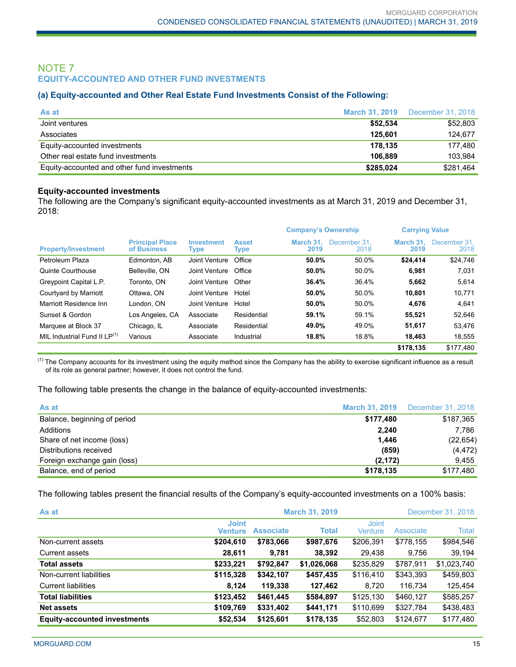## NOTE 7 **EQUITY-ACCOUNTED AND OTHER FUND INVESTMENTS**

#### **(a) Equity-accounted and Other Real Estate Fund Investments Consist of the Following:**

| As at                                       |           | <b>March 31, 2019</b> December 31, 2018 |
|---------------------------------------------|-----------|-----------------------------------------|
| Joint ventures                              | \$52.534  | \$52,803                                |
| Associates                                  | 125.601   | 124.677                                 |
| Equity-accounted investments                | 178.135   | 177.480                                 |
| Other real estate fund investments          | 106.889   | 103.984                                 |
| Equity-accounted and other fund investments | \$285,024 | \$281,464                               |

#### **Equity-accounted investments**

The following are the Company's significant equity-accounted investments as at March 31, 2019 and December 31, 2018:

|                                   |                                       |                           |                      | <b>Company's Ownership</b> |                      | <b>Carrying Value</b> |                      |
|-----------------------------------|---------------------------------------|---------------------------|----------------------|----------------------------|----------------------|-----------------------|----------------------|
| <b>Property/Investment</b>        | <b>Principal Place</b><br>of Business | <b>Investment</b><br>Type | <b>Asset</b><br>Type | March 31.<br>2019          | December 31.<br>2018 | March 31.<br>2019     | December 31.<br>2018 |
| Petroleum Plaza                   | Edmonton, AB                          | Joint Venture             | Office               | 50.0%                      | 50.0%                | \$24,414              | \$24,746             |
| Quinte Courthouse                 | Belleville, ON                        | Joint Venture             | Office               | 50.0%                      | 50.0%                | 6,981                 | 7,031                |
| Greypoint Capital L.P.            | Toronto, ON                           | Joint Venture             | Other                | 36.4%                      | 36.4%                | 5,662                 | 5,614                |
| Courtyard by Marriott             | Ottawa, ON                            | Joint Venture             | Hotel                | 50.0%                      | 50.0%                | 10,801                | 10,771               |
| Marriott Residence Inn            | London, ON                            | Joint Venture             | Hotel                | 50.0%                      | 50.0%                | 4,676                 | 4,641                |
| Sunset & Gordon                   | Los Angeles, CA                       | Associate                 | Residential          | 59.1%                      | 59.1%                | 55,521                | 52,646               |
| Marquee at Block 37               | Chicago, IL                           | Associate                 | Residential          | 49.0%                      | 49.0%                | 51,617                | 53,476               |
| MIL Industrial Fund II $LP^{(1)}$ | Various                               | Associate                 | Industrial           | 18.8%                      | 18.8%                | 18,463                | 18,555               |
|                                   |                                       |                           |                      |                            |                      | \$178,135             | \$177.480            |

 $<sup>(1)</sup>$  The Company accounts for its investment using the equity method since the Company has the ability to exercise significant influence as a result</sup> of its role as general partner; however, it does not control the fund.

The following table presents the change in the balance of equity-accounted investments:

| As at                        |           | <b>March 31, 2019</b> December 31, 2018 |
|------------------------------|-----------|-----------------------------------------|
| Balance, beginning of period | \$177,480 | \$187,365                               |
| Additions                    | 2,240     | 7.786                                   |
| Share of net income (loss)   | 1,446     | (22, 654)                               |
| Distributions received       | (859)     | (4, 472)                                |
| Foreign exchange gain (loss) | (2, 172)  | 9.455                                   |
| Balance, end of period       | \$178,135 | \$177,480                               |

The following tables present the financial results of the Company's equity-accounted investments on a 100% basis:

| As at                               |                                |                  | <b>March 31, 2019</b> |                         |           | December 31, 2018 |
|-------------------------------------|--------------------------------|------------------|-----------------------|-------------------------|-----------|-------------------|
|                                     | <b>Joint</b><br><b>Venture</b> | <b>Associate</b> | <b>Total</b>          | <b>Joint</b><br>Venture | Associate | Total             |
| Non-current assets                  | \$204,610                      | \$783,066        | \$987,676             | \$206,391               | \$778,155 | \$984,546         |
| <b>Current assets</b>               | 28,611                         | 9,781            | 38,392                | 29,438                  | 9.756     | 39,194            |
| <b>Total assets</b>                 | \$233,221                      | \$792,847        | \$1,026,068           | \$235,829               | \$787,911 | \$1,023,740       |
| Non-current liabilities             | \$115,328                      | \$342,107        | \$457,435             | \$116,410               | \$343,393 | \$459,803         |
| Current liabilities                 | 8,124                          | 119,338          | 127,462               | 8.720                   | 116,734   | 125,454           |
| <b>Total liabilities</b>            | \$123,452                      | \$461,445        | \$584,897             | \$125,130               | \$460,127 | \$585,257         |
| <b>Net assets</b>                   | \$109,769                      | \$331,402        | \$441,171             | \$110,699               | \$327,784 | \$438,483         |
| <b>Equity-accounted investments</b> | \$52,534                       | \$125,601        | \$178,135             | \$52,803                | \$124,677 | \$177,480         |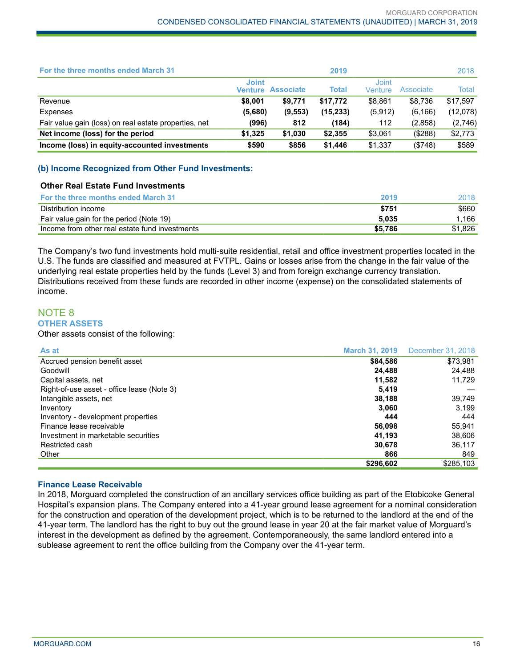| For the three months ended March 31                   |                                |                  | 2019         |                  |           | 2018     |
|-------------------------------------------------------|--------------------------------|------------------|--------------|------------------|-----------|----------|
|                                                       | <b>Joint</b><br><b>Venture</b> | <b>Associate</b> | <b>Total</b> | Joint<br>Venture | Associate | Total    |
| Revenue                                               | \$8,001                        | \$9,771          | \$17.772     | \$8.861          | \$8,736   | \$17.597 |
| Expenses                                              | (5,680)                        | (9, 553)         | (15,233)     | (5, 912)         | (6, 166)  | (12,078) |
| Fair value gain (loss) on real estate properties, net | (996)                          | 812              | (184)        | 112              | (2,858)   | (2,746)  |
| Net income (loss) for the period                      | \$1.325                        | \$1,030          | \$2,355      | \$3,061          | ( \$288)  | \$2,773  |
| Income (loss) in equity-accounted investments         | \$590                          | \$856            | \$1,446      | \$1,337          | ( \$748)  | \$589    |

#### **(b) Income Recognized from Other Fund Investments:**

#### **Other Real Estate Fund Investments**

| <b>For the three months ended March 31</b>     | 2019    | 2018    |
|------------------------------------------------|---------|---------|
| Distribution income                            | \$751   | \$660   |
| Fair value gain for the period (Note 19)       | 5.035   | 1.166   |
| Income from other real estate fund investments | \$5,786 | \$1,826 |

The Company's two fund investments hold multi-suite residential, retail and office investment properties located in the U.S. The funds are classified and measured at FVTPL. Gains or losses arise from the change in the fair value of the underlying real estate properties held by the funds (Level 3) and from foreign exchange currency translation. Distributions received from these funds are recorded in other income (expense) on the consolidated statements of income.

## NOTE 8 **OTHER ASSETS**

Other assets consist of the following:

| As at                                      | <b>March 31, 2019</b> | December 31, 2018 |
|--------------------------------------------|-----------------------|-------------------|
| Accrued pension benefit asset              | \$84,586              | \$73,981          |
| Goodwill                                   | 24,488                | 24,488            |
| Capital assets, net                        | 11,582                | 11,729            |
| Right-of-use asset - office lease (Note 3) | 5.419                 |                   |
| Intangible assets, net                     | 38,188                | 39,749            |
| Inventory                                  | 3.060                 | 3.199             |
| Inventory - development properties         | 444                   | 444               |
| Finance lease receivable                   | 56,098                | 55.941            |
| Investment in marketable securities        | 41.193                | 38,606            |
| Restricted cash                            | 30.678                | 36.117            |
| Other                                      | 866                   | 849               |
|                                            | \$296,602             | \$285,103         |

#### **Finance Lease Receivable**

In 2018, Morguard completed the construction of an ancillary services office building as part of the Etobicoke General Hospital's expansion plans. The Company entered into a 41-year ground lease agreement for a nominal consideration for the construction and operation of the development project, which is to be returned to the landlord at the end of the 41-year term. The landlord has the right to buy out the ground lease in year 20 at the fair market value of Morguard's interest in the development as defined by the agreement. Contemporaneously, the same landlord entered into a sublease agreement to rent the office building from the Company over the 41-year term.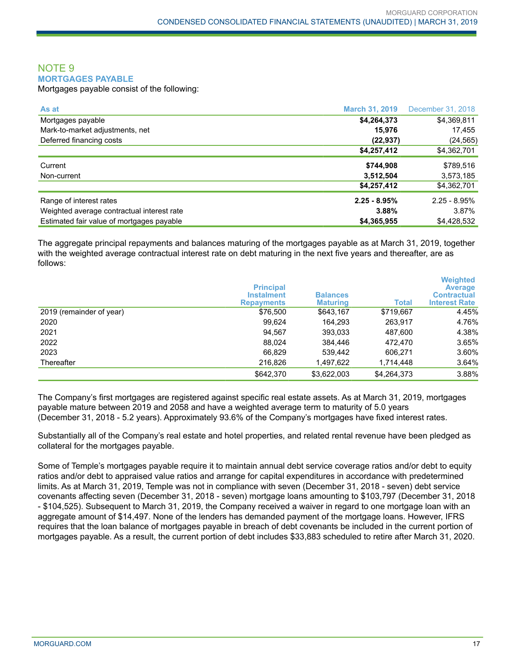## NOTE 9 **MORTGAGES PAYABLE**

Mortgages payable consist of the following:

| As at                                      | <b>March 31, 2019</b> | December 31, 2018 |
|--------------------------------------------|-----------------------|-------------------|
| Mortgages payable                          | \$4,264,373           | \$4,369,811       |
| Mark-to-market adjustments, net            | 15,976                | 17,455            |
| Deferred financing costs                   | (22, 937)             | (24, 565)         |
|                                            | \$4,257,412           | \$4,362,701       |
| Current                                    | \$744,908             | \$789,516         |
| Non-current                                | 3,512,504             | 3,573,185         |
|                                            | \$4,257,412           | \$4,362,701       |
| Range of interest rates                    | $2.25 - 8.95%$        | $2.25 - 8.95\%$   |
| Weighted average contractual interest rate | 3.88%                 | 3.87%             |
| Estimated fair value of mortgages payable  | \$4,365,955           | \$4,428,532       |

The aggregate principal repayments and balances maturing of the mortgages payable as at March 31, 2019, together with the weighted average contractual interest rate on debt maturing in the next five years and thereafter, are as follows:

|                          | <b>Principal</b><br><b>Instalment</b><br><b>Repayments</b> | <b>Balances</b><br><b>Maturing</b> | <b>Total</b> | <b>Weighted</b><br><b>Average</b><br><b>Contractual</b><br><b>Interest Rate</b> |
|--------------------------|------------------------------------------------------------|------------------------------------|--------------|---------------------------------------------------------------------------------|
| 2019 (remainder of year) | \$76,500                                                   | \$643,167                          | \$719,667    | 4.45%                                                                           |
| 2020                     | 99.624                                                     | 164.293                            | 263,917      | 4.76%                                                                           |
| 2021                     | 94.567                                                     | 393,033                            | 487.600      | 4.38%                                                                           |
| 2022                     | 88.024                                                     | 384,446                            | 472.470      | 3.65%                                                                           |
| 2023                     | 66,829                                                     | 539.442                            | 606.271      | 3.60%                                                                           |
| Thereafter               | 216,826                                                    | 1,497,622                          | 1,714,448    | 3.64%                                                                           |
|                          | \$642,370                                                  | \$3,622,003                        | \$4,264,373  | 3.88%                                                                           |

The Company's first mortgages are registered against specific real estate assets. As at March 31, 2019, mortgages payable mature between 2019 and 2058 and have a weighted average term to maturity of 5.0 years (December 31, 2018 - 5.2 years). Approximately 93.6% of the Company's mortgages have fixed interest rates.

Substantially all of the Company's real estate and hotel properties, and related rental revenue have been pledged as collateral for the mortgages payable.

Some of Temple's mortgages payable require it to maintain annual debt service coverage ratios and/or debt to equity ratios and/or debt to appraised value ratios and arrange for capital expenditures in accordance with predetermined limits. As at March 31, 2019, Temple was not in compliance with seven (December 31, 2018 - seven) debt service covenants affecting seven (December 31, 2018 - seven) mortgage loans amounting to \$103,797 (December 31, 2018 - \$104,525). Subsequent to March 31, 2019, the Company received a waiver in regard to one mortgage loan with an aggregate amount of \$14,497. None of the lenders has demanded payment of the mortgage loans. However, IFRS requires that the loan balance of mortgages payable in breach of debt covenants be included in the current portion of mortgages payable. As a result, the current portion of debt includes \$33,883 scheduled to retire after March 31, 2020.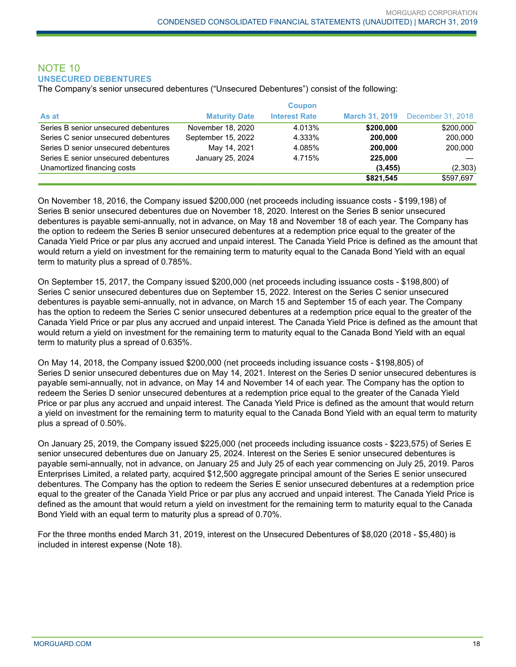## NOTE 10 **UNSECURED DEBENTURES**

The Company's senior unsecured debentures ("Unsecured Debentures") consist of the following:

|                                      |                      | <b>Coupon</b>        |           |                                  |
|--------------------------------------|----------------------|----------------------|-----------|----------------------------------|
| As at                                | <b>Maturity Date</b> | <b>Interest Rate</b> |           | March 31, 2019 December 31, 2018 |
| Series B senior unsecured debentures | November 18, 2020    | 4.013%               | \$200,000 | \$200,000                        |
| Series C senior unsecured debentures | September 15, 2022   | 4.333%               | 200.000   | 200,000                          |
| Series D senior unsecured debentures | May 14, 2021         | 4.085%               | 200.000   | 200,000                          |
| Series E senior unsecured debentures | January 25, 2024     | 4.715%               | 225,000   |                                  |
| Unamortized financing costs          |                      |                      | (3, 455)  | (2,303)                          |
|                                      |                      |                      | \$821,545 | \$597,697                        |

On November 18, 2016, the Company issued \$200,000 (net proceeds including issuance costs - \$199,198) of Series B senior unsecured debentures due on November 18, 2020. Interest on the Series B senior unsecured debentures is payable semi-annually, not in advance, on May 18 and November 18 of each year. The Company has the option to redeem the Series B senior unsecured debentures at a redemption price equal to the greater of the Canada Yield Price or par plus any accrued and unpaid interest. The Canada Yield Price is defined as the amount that would return a yield on investment for the remaining term to maturity equal to the Canada Bond Yield with an equal term to maturity plus a spread of 0.785%.

On September 15, 2017, the Company issued \$200,000 (net proceeds including issuance costs - \$198,800) of Series C senior unsecured debentures due on September 15, 2022. Interest on the Series C senior unsecured debentures is payable semi-annually, not in advance, on March 15 and September 15 of each year. The Company has the option to redeem the Series C senior unsecured debentures at a redemption price equal to the greater of the Canada Yield Price or par plus any accrued and unpaid interest. The Canada Yield Price is defined as the amount that would return a yield on investment for the remaining term to maturity equal to the Canada Bond Yield with an equal term to maturity plus a spread of 0.635%.

On May 14, 2018, the Company issued \$200,000 (net proceeds including issuance costs - \$198,805) of Series D senior unsecured debentures due on May 14, 2021. Interest on the Series D senior unsecured debentures is payable semi-annually, not in advance, on May 14 and November 14 of each year. The Company has the option to redeem the Series D senior unsecured debentures at a redemption price equal to the greater of the Canada Yield Price or par plus any accrued and unpaid interest. The Canada Yield Price is defined as the amount that would return a yield on investment for the remaining term to maturity equal to the Canada Bond Yield with an equal term to maturity plus a spread of 0.50%.

On January 25, 2019, the Company issued \$225,000 (net proceeds including issuance costs - \$223,575) of Series E senior unsecured debentures due on January 25, 2024. Interest on the Series E senior unsecured debentures is payable semi-annually, not in advance, on January 25 and July 25 of each year commencing on July 25, 2019. Paros Enterprises Limited, a related party, acquired \$12,500 aggregate principal amount of the Series E senior unsecured debentures. The Company has the option to redeem the Series E senior unsecured debentures at a redemption price equal to the greater of the Canada Yield Price or par plus any accrued and unpaid interest. The Canada Yield Price is defined as the amount that would return a yield on investment for the remaining term to maturity equal to the Canada Bond Yield with an equal term to maturity plus a spread of 0.70%.

For the three months ended March 31, 2019, interest on the Unsecured Debentures of \$8,020 (2018 - \$5,480) is included in interest expense (Note 18).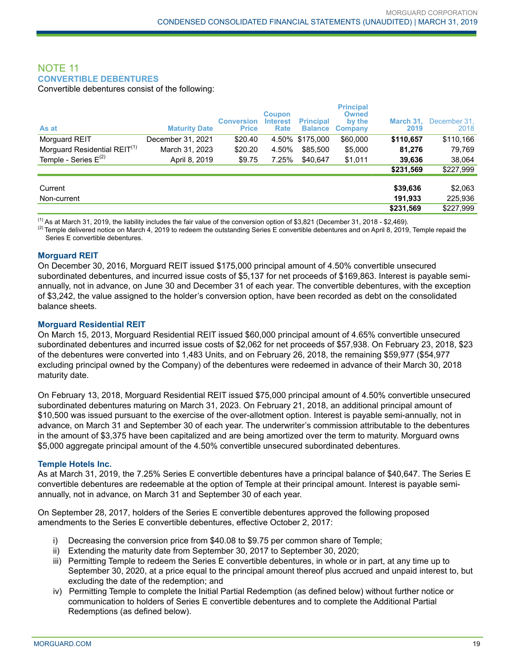## NOTE 11 **CONVERTIBLE DEBENTURES**

Convertible debentures consist of the following:

| As at                                    | <b>Maturity Date</b> | <b>Conversion</b><br><b>Price</b> | <b>Coupon</b><br><b>Interest</b><br>Rate | <b>Principal</b><br><b>Balance</b> | <b>Principal</b><br><b>Owned</b><br>by the<br>Company | March 31.<br>2019 | December 31,<br>2018 |
|------------------------------------------|----------------------|-----------------------------------|------------------------------------------|------------------------------------|-------------------------------------------------------|-------------------|----------------------|
| Morguard REIT                            | December 31, 2021    | \$20.40                           |                                          | 4.50% \$175.000                    | \$60,000                                              | \$110,657         | \$110,166            |
| Morguard Residential REIT <sup>(1)</sup> | March 31, 2023       | \$20.20                           | 4.50%                                    | \$85,500                           | \$5,000                                               | 81,276            | 79,769               |
| Temple - Series $E^{(2)}$                | April 8, 2019        | \$9.75                            | 7.25%                                    | \$40,647                           | \$1,011                                               | 39,636            | 38,064               |
|                                          |                      |                                   |                                          |                                    |                                                       | \$231,569         | \$227,999            |
|                                          |                      |                                   |                                          |                                    |                                                       |                   |                      |
| Current                                  |                      |                                   |                                          |                                    |                                                       | \$39,636          | \$2,063              |
| Non-current                              |                      |                                   |                                          |                                    |                                                       | 191,933           | 225,936              |
|                                          |                      |                                   |                                          |                                    |                                                       | \$231,569         | \$227,999            |

 $<sup>(1)</sup>$  As at March 31, 2019, the liability includes the fair value of the conversion option of \$3,821 (December 31, 2018 - \$2,469).</sup>

 $^{(2)}$  Temple delivered notice on March 4, 2019 to redeem the outstanding Series E convertible debentures and on April 8, 2019, Temple repaid the Series E convertible debentures.

#### **Morguard REIT**

On December 30, 2016, Morguard REIT issued \$175,000 principal amount of 4.50% convertible unsecured subordinated debentures, and incurred issue costs of \$5,137 for net proceeds of \$169,863. Interest is payable semiannually, not in advance, on June 30 and December 31 of each year. The convertible debentures, with the exception of \$3,242, the value assigned to the holder's conversion option, have been recorded as debt on the consolidated balance sheets.

#### **Morguard Residential REIT**

On March 15, 2013, Morguard Residential REIT issued \$60,000 principal amount of 4.65% convertible unsecured subordinated debentures and incurred issue costs of \$2,062 for net proceeds of \$57,938. On February 23, 2018, \$23 of the debentures were converted into 1,483 Units, and on February 26, 2018, the remaining \$59,977 (\$54,977 excluding principal owned by the Company) of the debentures were redeemed in advance of their March 30, 2018 maturity date.

On February 13, 2018, Morguard Residential REIT issued \$75,000 principal amount of 4.50% convertible unsecured subordinated debentures maturing on March 31, 2023. On February 21, 2018, an additional principal amount of \$10,500 was issued pursuant to the exercise of the over-allotment option. Interest is payable semi-annually, not in advance, on March 31 and September 30 of each year. The underwriter's commission attributable to the debentures in the amount of \$3,375 have been capitalized and are being amortized over the term to maturity. Morguard owns \$5,000 aggregate principal amount of the 4.50% convertible unsecured subordinated debentures.

#### **Temple Hotels Inc.**

As at March 31, 2019, the 7.25% Series E convertible debentures have a principal balance of \$40,647. The Series E convertible debentures are redeemable at the option of Temple at their principal amount. Interest is payable semiannually, not in advance, on March 31 and September 30 of each year.

On September 28, 2017, holders of the Series E convertible debentures approved the following proposed amendments to the Series E convertible debentures, effective October 2, 2017:

- i) Decreasing the conversion price from \$40.08 to \$9.75 per common share of Temple;
- ii) Extending the maturity date from September 30, 2017 to September 30, 2020;
- iii) Permitting Temple to redeem the Series E convertible debentures, in whole or in part, at any time up to September 30, 2020, at a price equal to the principal amount thereof plus accrued and unpaid interest to, but excluding the date of the redemption; and
- iv) Permitting Temple to complete the Initial Partial Redemption (as defined below) without further notice or communication to holders of Series E convertible debentures and to complete the Additional Partial Redemptions (as defined below).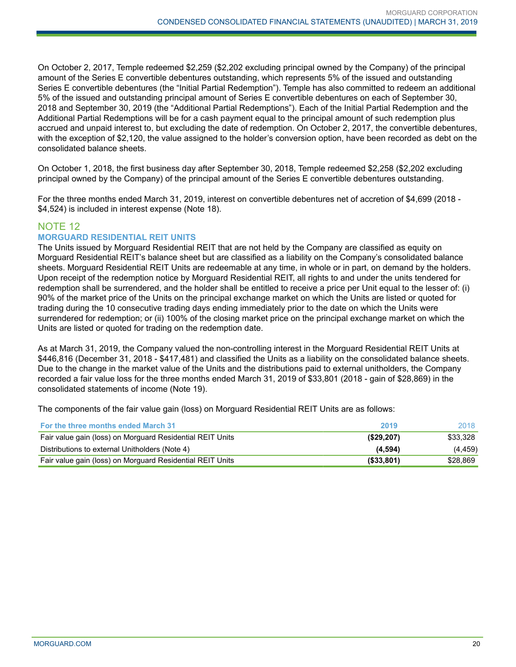On October 2, 2017, Temple redeemed \$2,259 (\$2,202 excluding principal owned by the Company) of the principal amount of the Series E convertible debentures outstanding, which represents 5% of the issued and outstanding Series E convertible debentures (the "Initial Partial Redemption"). Temple has also committed to redeem an additional 5% of the issued and outstanding principal amount of Series E convertible debentures on each of September 30, 2018 and September 30, 2019 (the "Additional Partial Redemptions"). Each of the Initial Partial Redemption and the Additional Partial Redemptions will be for a cash payment equal to the principal amount of such redemption plus accrued and unpaid interest to, but excluding the date of redemption. On October 2, 2017, the convertible debentures, with the exception of \$2,120, the value assigned to the holder's conversion option, have been recorded as debt on the consolidated balance sheets.

On October 1, 2018, the first business day after September 30, 2018, Temple redeemed \$2,258 (\$2,202 excluding principal owned by the Company) of the principal amount of the Series E convertible debentures outstanding.

For the three months ended March 31, 2019, interest on convertible debentures net of accretion of \$4,699 (2018 - \$4,524) is included in interest expense (Note 18).

## NOTE 12

## **MORGUARD RESIDENTIAL REIT UNITS**

The Units issued by Morguard Residential REIT that are not held by the Company are classified as equity on Morguard Residential REIT's balance sheet but are classified as a liability on the Company's consolidated balance sheets. Morguard Residential REIT Units are redeemable at any time, in whole or in part, on demand by the holders. Upon receipt of the redemption notice by Morguard Residential REIT, all rights to and under the units tendered for redemption shall be surrendered, and the holder shall be entitled to receive a price per Unit equal to the lesser of: (i) 90% of the market price of the Units on the principal exchange market on which the Units are listed or quoted for trading during the 10 consecutive trading days ending immediately prior to the date on which the Units were surrendered for redemption; or (ii) 100% of the closing market price on the principal exchange market on which the Units are listed or quoted for trading on the redemption date.

As at March 31, 2019, the Company valued the non-controlling interest in the Morguard Residential REIT Units at \$446,816 (December 31, 2018 - \$417,481) and classified the Units as a liability on the consolidated balance sheets. Due to the change in the market value of the Units and the distributions paid to external unitholders, the Company recorded a fair value loss for the three months ended March 31, 2019 of \$33,801 (2018 - gain of \$28,869) in the consolidated statements of income (Note 19).

The components of the fair value gain (loss) on Morguard Residential REIT Units are as follows:

| <b>For the three months ended March 31</b>                | 2019          | 2018     |
|-----------------------------------------------------------|---------------|----------|
| Fair value gain (loss) on Morguard Residential REIT Units | (S29, 207)    | \$33.328 |
| Distributions to external Unitholders (Note 4)            | (4,594)       | (4.459)  |
| Fair value gain (loss) on Morguard Residential REIT Units | $($ \$33,801) | \$28.869 |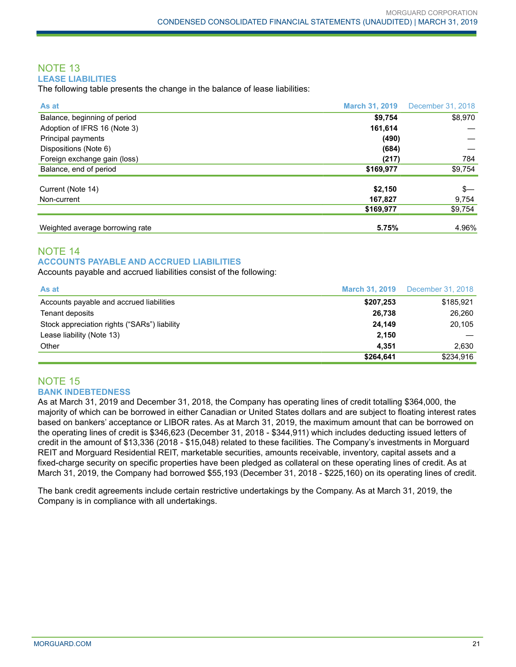## NOTE 13 **LEASE LIABILITIES**

The following table presents the change in the balance of lease liabilities:

| As at                           | <b>March 31, 2019</b> | December 31, 2018 |
|---------------------------------|-----------------------|-------------------|
| Balance, beginning of period    | \$9,754               | \$8,970           |
| Adoption of IFRS 16 (Note 3)    | 161,614               |                   |
| Principal payments              | (490)                 |                   |
| Dispositions (Note 6)           | (684)                 |                   |
| Foreign exchange gain (loss)    | (217)                 | 784               |
| Balance, end of period          | \$169,977             | \$9,754           |
| Current (Note 14)               | \$2,150               | $s-$              |
| Non-current                     | 167,827               | 9,754             |
|                                 | \$169,977             | \$9,754           |
| Weighted average borrowing rate | 5.75%                 | 4.96%             |

## NOTE 14 **ACCOUNTS PAYABLE AND ACCRUED LIABILITIES**

Accounts payable and accrued liabilities consist of the following:

| As at                                        |           | <b>March 31, 2019</b> December 31, 2018 |
|----------------------------------------------|-----------|-----------------------------------------|
| Accounts payable and accrued liabilities     | \$207,253 | \$185.921                               |
| Tenant deposits                              | 26,738    | 26.260                                  |
| Stock appreciation rights ("SARs") liability | 24.149    | 20,105                                  |
| Lease liability (Note 13)                    | 2.150     |                                         |
| Other                                        | 4.351     | 2.630                                   |
|                                              | \$264,641 | \$234.916                               |

## NOTE 15 **BANK INDEBTEDNESS**

As at March 31, 2019 and December 31, 2018, the Company has operating lines of credit totalling \$364,000, the majority of which can be borrowed in either Canadian or United States dollars and are subject to floating interest rates based on bankers' acceptance or LIBOR rates. As at March 31, 2019, the maximum amount that can be borrowed on the operating lines of credit is \$346,623 (December 31, 2018 - \$344,911) which includes deducting issued letters of credit in the amount of \$13,336 (2018 - \$15,048) related to these facilities. The Company's investments in Morguard REIT and Morguard Residential REIT, marketable securities, amounts receivable, inventory, capital assets and a fixed-charge security on specific properties have been pledged as collateral on these operating lines of credit. As at March 31, 2019, the Company had borrowed \$55,193 (December 31, 2018 - \$225,160) on its operating lines of credit.

The bank credit agreements include certain restrictive undertakings by the Company. As at March 31, 2019, the Company is in compliance with all undertakings.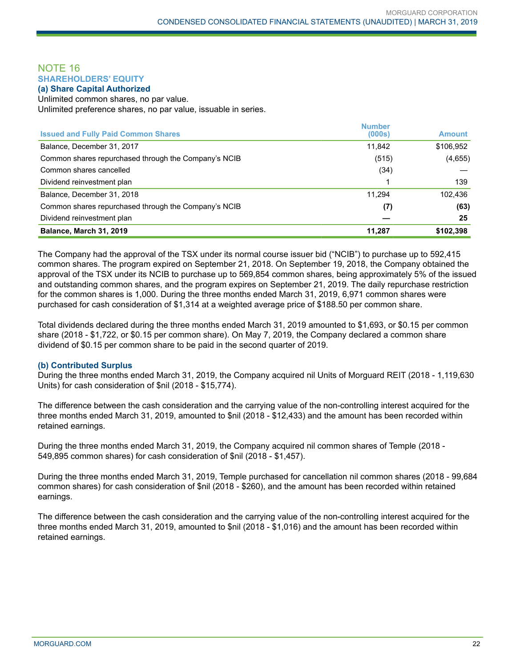## NOTE 16 **SHAREHOLDERS' EQUITY**

**(a) Share Capital Authorized**

Unlimited common shares, no par value. Unlimited preference shares, no par value, issuable in series.

| <b>Number</b> | <b>Amount</b> |
|---------------|---------------|
|               |               |
| 11,842        | \$106,952     |
| (515)         | (4,655)       |
| (34)          |               |
|               | 139           |
| 11.294        | 102,436       |
| (7)           | (63)          |
|               | 25            |
| 11,287        | \$102,398     |
|               | (000s)        |

The Company had the approval of the TSX under its normal course issuer bid ("NCIB") to purchase up to 592,415 common shares. The program expired on September 21, 2018. On September 19, 2018, the Company obtained the approval of the TSX under its NCIB to purchase up to 569,854 common shares, being approximately 5% of the issued and outstanding common shares, and the program expires on September 21, 2019. The daily repurchase restriction for the common shares is 1,000. During the three months ended March 31, 2019, 6,971 common shares were purchased for cash consideration of \$1,314 at a weighted average price of \$188.50 per common share.

Total dividends declared during the three months ended March 31, 2019 amounted to \$1,693, or \$0.15 per common share (2018 - \$1,722, or \$0.15 per common share). On May 7, 2019, the Company declared a common share dividend of \$0.15 per common share to be paid in the second quarter of 2019.

#### **(b) Contributed Surplus**

During the three months ended March 31, 2019, the Company acquired nil Units of Morguard REIT (2018 - 1,119,630 Units) for cash consideration of \$nil (2018 - \$15,774).

The difference between the cash consideration and the carrying value of the non-controlling interest acquired for the three months ended March 31, 2019, amounted to \$nil (2018 - \$12,433) and the amount has been recorded within retained earnings.

During the three months ended March 31, 2019, the Company acquired nil common shares of Temple (2018 - 549,895 common shares) for cash consideration of \$nil (2018 - \$1,457).

During the three months ended March 31, 2019, Temple purchased for cancellation nil common shares (2018 - 99,684 common shares) for cash consideration of \$nil (2018 - \$260), and the amount has been recorded within retained earnings.

The difference between the cash consideration and the carrying value of the non-controlling interest acquired for the three months ended March 31, 2019, amounted to \$nil (2018 - \$1,016) and the amount has been recorded within retained earnings.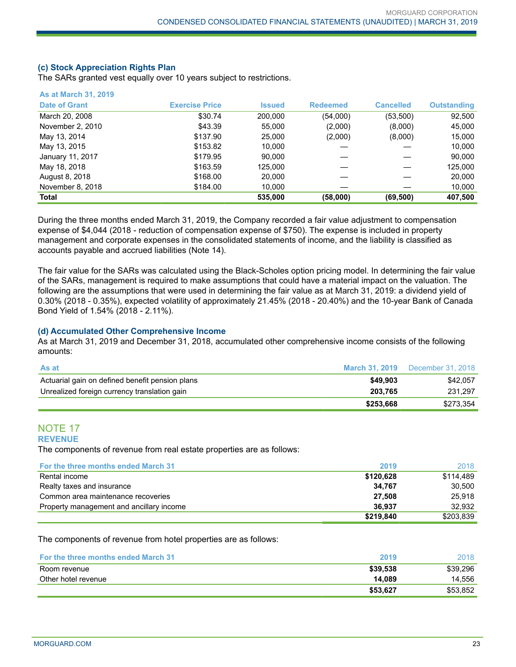#### **(c) Stock Appreciation Rights Plan**

The SARs granted vest equally over 10 years subject to restrictions.

| <b>As at March 31, 2019</b> |                       |               |                 |                  |                    |
|-----------------------------|-----------------------|---------------|-----------------|------------------|--------------------|
| <b>Date of Grant</b>        | <b>Exercise Price</b> | <b>Issued</b> | <b>Redeemed</b> | <b>Cancelled</b> | <b>Outstanding</b> |
| March 20, 2008              | \$30.74               | 200.000       | (54,000)        | (53, 500)        | 92,500             |
| November 2, 2010            | \$43.39               | 55,000        | (2,000)         | (8,000)          | 45,000             |
| May 13, 2014                | \$137.90              | 25,000        | (2,000)         | (8,000)          | 15,000             |
| May 13, 2015                | \$153.82              | 10.000        |                 |                  | 10.000             |
| January 11, 2017            | \$179.95              | 90,000        |                 |                  | 90,000             |
| May 18, 2018                | \$163.59              | 125,000       |                 |                  | 125,000            |
| August 8, 2018              | \$168.00              | 20,000        |                 |                  | 20,000             |
| November 8, 2018            | \$184.00              | 10,000        |                 |                  | 10,000             |
| <b>Total</b>                |                       | 535,000       | (58,000)        | (69, 500)        | 407,500            |

During the three months ended March 31, 2019, the Company recorded a fair value adjustment to compensation expense of \$4,044 (2018 - reduction of compensation expense of \$750). The expense is included in property management and corporate expenses in the consolidated statements of income, and the liability is classified as accounts payable and accrued liabilities (Note 14).

The fair value for the SARs was calculated using the Black-Scholes option pricing model. In determining the fair value of the SARs, management is required to make assumptions that could have a material impact on the valuation. The following are the assumptions that were used in determining the fair value as at March 31, 2019: a dividend yield of 0.30% (2018 - 0.35%), expected volatility of approximately 21.45% (2018 - 20.40%) and the 10-year Bank of Canada Bond Yield of 1.54% (2018 - 2.11%).

#### **(d) Accumulated Other Comprehensive Income**

As at March 31, 2019 and December 31, 2018, accumulated other comprehensive income consists of the following amounts:

| As at                                           |           | <b>March 31, 2019</b> December 31, 2018 |
|-------------------------------------------------|-----------|-----------------------------------------|
| Actuarial gain on defined benefit pension plans | \$49,903  | \$42.057                                |
| Unrealized foreign currency translation gain    | 203.765   | 231.297                                 |
|                                                 | \$253,668 | \$273.354                               |

#### NOTE 17 **REVENUE**

The components of revenue from real estate properties are as follows:

| For the three months ended March 31      | 2019      | 2018      |
|------------------------------------------|-----------|-----------|
| Rental income                            | \$120,628 | \$114.489 |
| Realty taxes and insurance               | 34.767    | 30.500    |
| Common area maintenance recoveries       | 27.508    | 25.918    |
| Property management and ancillary income | 36.937    | 32.932    |
|                                          | \$219,840 | \$203,839 |

The components of revenue from hotel properties are as follows:

| <b>For the three months ended March 31</b> | 2019     | 2018     |
|--------------------------------------------|----------|----------|
| Room revenue                               | \$39,538 | \$39,296 |
| Other hotel revenue                        | 14.089   | 14,556   |
|                                            | \$53.627 | \$53.852 |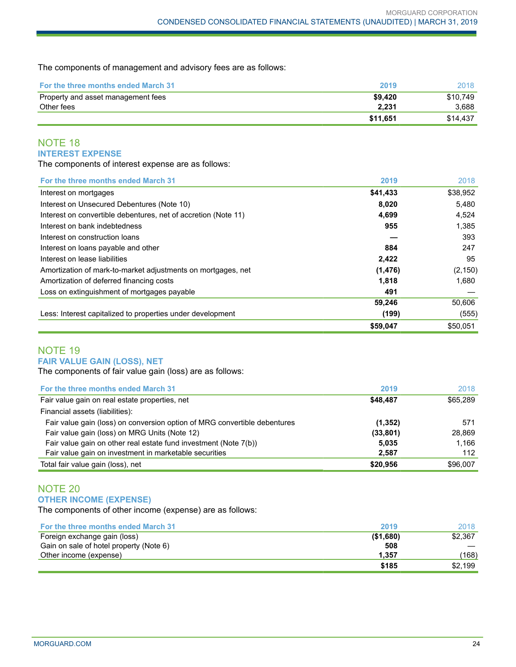The components of management and advisory fees are as follows:

| <b>For the three months ended March 31</b> | 2019     | 2018     |
|--------------------------------------------|----------|----------|
| Property and asset management fees         | \$9.420  | \$10.749 |
| Other fees                                 | 2.231    | 3.688    |
|                                            | \$11,651 | \$14.437 |

## NOTE 18 **INTEREST EXPENSE**

The components of interest expense are as follows:

| For the three months ended March 31                            | 2019     | 2018     |
|----------------------------------------------------------------|----------|----------|
| Interest on mortgages                                          | \$41,433 | \$38,952 |
| Interest on Unsecured Debentures (Note 10)                     | 8,020    | 5,480    |
| Interest on convertible debentures, net of accretion (Note 11) | 4,699    | 4,524    |
| Interest on bank indebtedness                                  | 955      | 1,385    |
| Interest on construction loans                                 |          | 393      |
| Interest on loans payable and other                            | 884      | 247      |
| Interest on lease liabilities                                  | 2,422    | 95       |
| Amortization of mark-to-market adjustments on mortgages, net   | (1, 476) | (2, 150) |
| Amortization of deferred financing costs                       | 1.818    | 1.680    |
| Loss on extinguishment of mortgages payable                    | 491      |          |
|                                                                | 59,246   | 50,606   |
| Less: Interest capitalized to properties under development     | (199)    | (555)    |
|                                                                | \$59,047 | \$50.051 |

### NOTE 19 **FAIR VALUE GAIN (LOSS), NET**

The components of fair value gain (loss) are as follows:

| For the three months ended March 31                                       | 2019      | 2018     |
|---------------------------------------------------------------------------|-----------|----------|
| Fair value gain on real estate properties, net                            | \$48,487  | \$65,289 |
| Financial assets (liabilities):                                           |           |          |
| Fair value gain (loss) on conversion option of MRG convertible debentures | (1, 352)  | 571      |
| Fair value gain (loss) on MRG Units (Note 12)                             | (33, 801) | 28.869   |
| Fair value gain on other real estate fund investment (Note 7(b))          | 5.035     | 1.166    |
| Fair value gain on investment in marketable securities                    | 2,587     | 112      |
| Total fair value gain (loss), net                                         | \$20,956  | \$96,007 |

## NOTE 20 **OTHER INCOME (EXPENSE)**

The components of other income (expense) are as follows:

| <b>For the three months ended March 31</b> | 2019      | 2018    |
|--------------------------------------------|-----------|---------|
| Foreign exchange gain (loss)               | (\$1,680) | \$2.367 |
| Gain on sale of hotel property (Note 6)    | 508       |         |
| Other income (expense)                     | 1.357     | (168)   |
|                                            | \$185     | \$2.199 |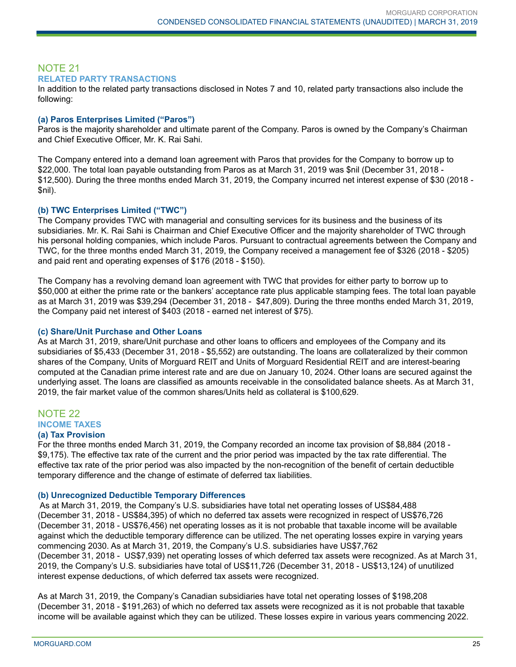## NOTE 21 **RELATED PARTY TRANSACTIONS**

In addition to the related party transactions disclosed in Notes 7 and 10, related party transactions also include the following:

#### **(a) Paros Enterprises Limited ("Paros")**

Paros is the majority shareholder and ultimate parent of the Company. Paros is owned by the Company's Chairman and Chief Executive Officer, Mr. K. Rai Sahi.

The Company entered into a demand loan agreement with Paros that provides for the Company to borrow up to \$22,000. The total loan payable outstanding from Paros as at March 31, 2019 was \$nil (December 31, 2018 - \$12,500). During the three months ended March 31, 2019, the Company incurred net interest expense of \$30 (2018 - \$nil).

### **(b) TWC Enterprises Limited ("TWC")**

The Company provides TWC with managerial and consulting services for its business and the business of its subsidiaries. Mr. K. Rai Sahi is Chairman and Chief Executive Officer and the majority shareholder of TWC through his personal holding companies, which include Paros. Pursuant to contractual agreements between the Company and TWC, for the three months ended March 31, 2019, the Company received a management fee of \$326 (2018 - \$205) and paid rent and operating expenses of \$176 (2018 - \$150).

The Company has a revolving demand loan agreement with TWC that provides for either party to borrow up to \$50,000 at either the prime rate or the bankers' acceptance rate plus applicable stamping fees. The total loan payable as at March 31, 2019 was \$39,294 (December 31, 2018 - \$47,809). During the three months ended March 31, 2019, the Company paid net interest of \$403 (2018 - earned net interest of \$75).

#### **(c) Share/Unit Purchase and Other Loans**

As at March 31, 2019, share/Unit purchase and other loans to officers and employees of the Company and its subsidiaries of \$5,433 (December 31, 2018 - \$5,552) are outstanding. The loans are collateralized by their common shares of the Company, Units of Morguard REIT and Units of Morguard Residential REIT and are interest-bearing computed at the Canadian prime interest rate and are due on January 10, 2024. Other loans are secured against the underlying asset. The loans are classified as amounts receivable in the consolidated balance sheets. As at March 31, 2019, the fair market value of the common shares/Units held as collateral is \$100,629.

## NOTE 22 **INCOME TAXES**

#### **(a) Tax Provision**

For the three months ended March 31, 2019, the Company recorded an income tax provision of \$8,884 (2018 - \$9,175). The effective tax rate of the current and the prior period was impacted by the tax rate differential. The effective tax rate of the prior period was also impacted by the non-recognition of the benefit of certain deductible temporary difference and the change of estimate of deferred tax liabilities.

#### **(b) Unrecognized Deductible Temporary Differences**

As at March 31, 2019, the Company's U.S. subsidiaries have total net operating losses of US\$84,488 (December 31, 2018 - US\$84,395) of which no deferred tax assets were recognized in respect of US\$76,726 (December 31, 2018 - US\$76,456) net operating losses as it is not probable that taxable income will be available against which the deductible temporary difference can be utilized. The net operating losses expire in varying years commencing 2030. As at March 31, 2019, the Company's U.S. subsidiaries have US\$7,762 (December 31, 2018 - US\$7,939) net operating losses of which deferred tax assets were recognized. As at March 31, 2019, the Company's U.S. subsidiaries have total of US\$11,726 (December 31, 2018 - US\$13,124) of unutilized interest expense deductions, of which deferred tax assets were recognized.

As at March 31, 2019, the Company's Canadian subsidiaries have total net operating losses of \$198,208 (December 31, 2018 - \$191,263) of which no deferred tax assets were recognized as it is not probable that taxable income will be available against which they can be utilized. These losses expire in various years commencing 2022.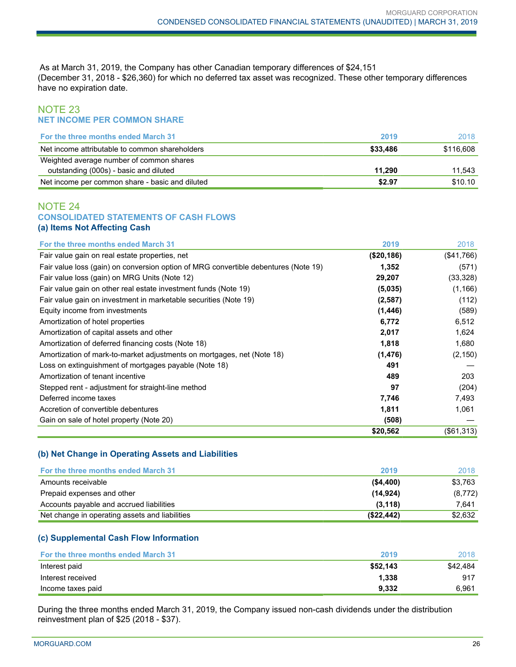As at March 31, 2019, the Company has other Canadian temporary differences of \$24,151 (December 31, 2018 - \$26,360) for which no deferred tax asset was recognized. These other temporary differences have no expiration date.

## NOTE 23 **NET INCOME PER COMMON SHARE**

| <b>For the three months ended March 31</b>      | 2019     | 2018      |
|-------------------------------------------------|----------|-----------|
| Net income attributable to common shareholders  | \$33,486 | \$116.608 |
| Weighted average number of common shares        |          |           |
| outstanding (000s) - basic and diluted          | 11.290   | 11.543    |
| Net income per common share - basic and diluted | \$2.97   | \$10.10   |

#### NOTE 24 **CONSOLIDATED STATEMENTS OF CASH FLOWS (a) Items Not Affecting Cash**

| For the three months ended March 31                                                 | 2019       | 2018       |
|-------------------------------------------------------------------------------------|------------|------------|
| Fair value gain on real estate properties, net                                      | (\$20,186) | (\$41,766) |
| Fair value loss (gain) on conversion option of MRG convertible debentures (Note 19) | 1,352      | (571)      |
| Fair value loss (gain) on MRG Units (Note 12)                                       | 29,207     | (33, 328)  |
| Fair value gain on other real estate investment funds (Note 19)                     | (5,035)    | (1, 166)   |
| Fair value gain on investment in marketable securities (Note 19)                    | (2, 587)   | (112)      |
| Equity income from investments                                                      | (1, 446)   | (589)      |
| Amortization of hotel properties                                                    | 6,772      | 6,512      |
| Amortization of capital assets and other                                            | 2,017      | 1,624      |
| Amortization of deferred financing costs (Note 18)                                  | 1,818      | 1,680      |
| Amortization of mark-to-market adjustments on mortgages, net (Note 18)              | (1, 476)   | (2, 150)   |
| Loss on extinguishment of mortgages payable (Note 18)                               | 491        |            |
| Amortization of tenant incentive                                                    | 489        | 203        |
| Stepped rent - adjustment for straight-line method                                  | 97         | (204)      |
| Deferred income taxes                                                               | 7,746      | 7,493      |
| Accretion of convertible debentures                                                 | 1,811      | 1,061      |
| Gain on sale of hotel property (Note 20)                                            | (508)      |            |
|                                                                                     | \$20,562   | (\$61,313) |

## **(b) Net Change in Operating Assets and Liabilities**

| <b>For the three months ended March 31</b>     | 2019       | 2018    |
|------------------------------------------------|------------|---------|
| Amounts receivable                             | ( \$4,400) | \$3,763 |
| Prepaid expenses and other                     | (14, 924)  | (8,772) |
| Accounts payable and accrued liabilities       | (3, 118)   | 7.641   |
| Net change in operating assets and liabilities | (S22, 442) | \$2.632 |

#### **(c) Supplemental Cash Flow Information**

| <b>For the three months ended March 31</b> | 2019     | 2018     |
|--------------------------------------------|----------|----------|
| Interest paid                              | \$52,143 | \$42.484 |
| Interest received                          | 1.338    | 917      |
| Income taxes paid                          | 9.332    | 6.961    |

During the three months ended March 31, 2019, the Company issued non-cash dividends under the distribution reinvestment plan of \$25 (2018 - \$37).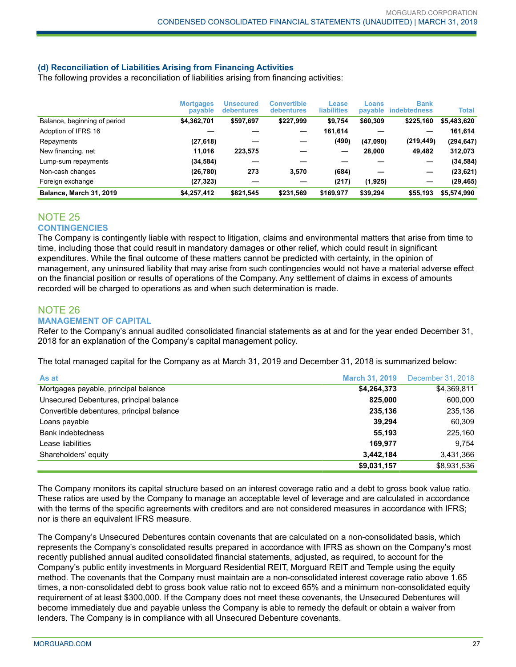## **(d) Reconciliation of Liabilities Arising from Financing Activities**

The following provides a reconciliation of liabilities arising from financing activities:

|                                | <b>Mortgages</b><br>payable | <b>Unsecured</b><br>debentures | <b>Convertible</b><br><b>debentures</b> | Lease<br><b>liabilities</b> | Loans<br>payable | <b>Bank</b><br><b>indebtedness</b> | Total       |
|--------------------------------|-----------------------------|--------------------------------|-----------------------------------------|-----------------------------|------------------|------------------------------------|-------------|
| Balance, beginning of period   | \$4,362,701                 | \$597,697                      | \$227,999                               | \$9,754                     | \$60,309         | \$225,160                          | \$5,483,620 |
| Adoption of IFRS 16            |                             |                                |                                         | 161,614                     |                  |                                    | 161,614     |
| Repayments                     | (27, 618)                   |                                |                                         | (490)                       | (47,090)         | (219, 449)                         | (294, 647)  |
| New financing, net             | 11.016                      | 223,575                        |                                         |                             | 28,000           | 49,482                             | 312,073     |
| Lump-sum repayments            | (34, 584)                   |                                |                                         |                             |                  |                                    | (34,584)    |
| Non-cash changes               | (26, 780)                   | 273                            | 3,570                                   | (684)                       |                  |                                    | (23, 621)   |
| Foreign exchange               | (27, 323)                   |                                |                                         | (217)                       | (1, 925)         |                                    | (29, 465)   |
| <b>Balance, March 31, 2019</b> | \$4,257,412                 | \$821,545                      | \$231,569                               | \$169.977                   | \$39,294         | \$55,193                           | \$5,574,990 |

## NOTE 25

## **CONTINGENCIES**

The Company is contingently liable with respect to litigation, claims and environmental matters that arise from time to time, including those that could result in mandatory damages or other relief, which could result in significant expenditures. While the final outcome of these matters cannot be predicted with certainty, in the opinion of management, any uninsured liability that may arise from such contingencies would not have a material adverse effect on the financial position or results of operations of the Company. Any settlement of claims in excess of amounts recorded will be charged to operations as and when such determination is made.

### NOTE 26 **MANAGEMENT OF CAPITAL**

Refer to the Company's annual audited consolidated financial statements as at and for the year ended December 31, 2018 for an explanation of the Company's capital management policy.

The total managed capital for the Company as at March 31, 2019 and December 31, 2018 is summarized below:

| As at                                     | <b>March 31, 2019</b> | December 31, 2018 |
|-------------------------------------------|-----------------------|-------------------|
| Mortgages payable, principal balance      | \$4,264,373           | \$4,369,811       |
| Unsecured Debentures, principal balance   | 825,000               | 600,000           |
| Convertible debentures, principal balance | 235,136               | 235,136           |
| Loans payable                             | 39,294                | 60,309            |
| Bank indebtedness                         | 55.193                | 225,160           |
| Lease liabilities                         | 169.977               | 9.754             |
| Shareholders' equity                      | 3,442,184             | 3,431,366         |
|                                           | \$9,031,157           | \$8,931,536       |

The Company monitors its capital structure based on an interest coverage ratio and a debt to gross book value ratio. These ratios are used by the Company to manage an acceptable level of leverage and are calculated in accordance with the terms of the specific agreements with creditors and are not considered measures in accordance with IFRS; nor is there an equivalent IFRS measure.

The Company's Unsecured Debentures contain covenants that are calculated on a non-consolidated basis, which represents the Company's consolidated results prepared in accordance with IFRS as shown on the Company's most recently published annual audited consolidated financial statements, adjusted, as required, to account for the Company's public entity investments in Morguard Residential REIT, Morguard REIT and Temple using the equity method. The covenants that the Company must maintain are a non-consolidated interest coverage ratio above 1.65 times, a non-consolidated debt to gross book value ratio not to exceed 65% and a minimum non-consolidated equity requirement of at least \$300,000. If the Company does not meet these covenants, the Unsecured Debentures will become immediately due and payable unless the Company is able to remedy the default or obtain a waiver from lenders. The Company is in compliance with all Unsecured Debenture covenants.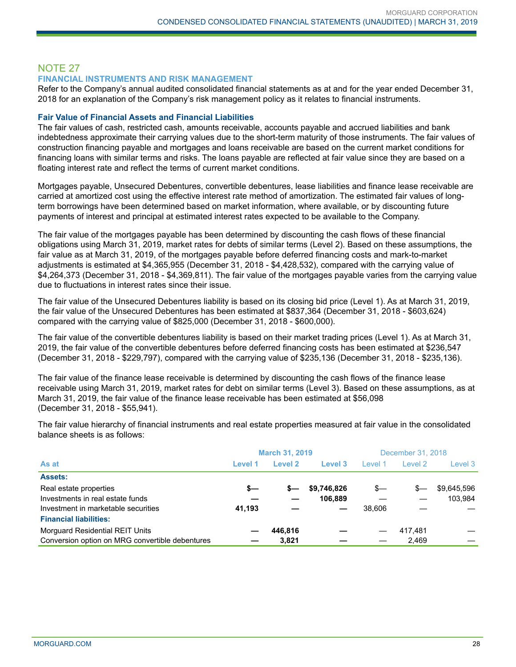# NOTE 27

## **FINANCIAL INSTRUMENTS AND RISK MANAGEMENT**

Refer to the Company's annual audited consolidated financial statements as at and for the year ended December 31, 2018 for an explanation of the Company's risk management policy as it relates to financial instruments.

#### **Fair Value of Financial Assets and Financial Liabilities**

The fair values of cash, restricted cash, amounts receivable, accounts payable and accrued liabilities and bank indebtedness approximate their carrying values due to the short-term maturity of those instruments. The fair values of construction financing payable and mortgages and loans receivable are based on the current market conditions for financing loans with similar terms and risks. The loans payable are reflected at fair value since they are based on a floating interest rate and reflect the terms of current market conditions.

Mortgages payable, Unsecured Debentures, convertible debentures, lease liabilities and finance lease receivable are carried at amortized cost using the effective interest rate method of amortization. The estimated fair values of longterm borrowings have been determined based on market information, where available, or by discounting future payments of interest and principal at estimated interest rates expected to be available to the Company.

The fair value of the mortgages payable has been determined by discounting the cash flows of these financial obligations using March 31, 2019, market rates for debts of similar terms (Level 2). Based on these assumptions, the fair value as at March 31, 2019, of the mortgages payable before deferred financing costs and mark-to-market adjustments is estimated at \$4,365,955 (December 31, 2018 - \$4,428,532), compared with the carrying value of \$4,264,373 (December 31, 2018 - \$4,369,811). The fair value of the mortgages payable varies from the carrying value due to fluctuations in interest rates since their issue.

The fair value of the Unsecured Debentures liability is based on its closing bid price (Level 1). As at March 31, 2019, the fair value of the Unsecured Debentures has been estimated at \$837,364 (December 31, 2018 - \$603,624) compared with the carrying value of \$825,000 (December 31, 2018 - \$600,000).

The fair value of the convertible debentures liability is based on their market trading prices (Level 1). As at March 31, 2019, the fair value of the convertible debentures before deferred financing costs has been estimated at \$236,547 (December 31, 2018 - \$229,797), compared with the carrying value of \$235,136 (December 31, 2018 - \$235,136).

The fair value of the finance lease receivable is determined by discounting the cash flows of the finance lease receivable using March 31, 2019, market rates for debt on similar terms (Level 3). Based on these assumptions, as at March 31, 2019, the fair value of the finance lease receivable has been estimated at \$56,098 (December 31, 2018 - \$55,941).

The fair value hierarchy of financial instruments and real estate properties measured at fair value in the consolidated balance sheets is as follows:

|                                                 | <b>March 31, 2019</b> |         |             | December 31, 2018 |         |             |
|-------------------------------------------------|-----------------------|---------|-------------|-------------------|---------|-------------|
| As at                                           | Level 1               | Level 2 | Level 3     | Level 1           | Level 2 | Level 3     |
| <b>Assets:</b>                                  |                       |         |             |                   |         |             |
| Real estate properties                          | s—                    | s—      | \$9,746,826 | \$—               | s—      | \$9,645,596 |
| Investments in real estate funds                |                       |         | 106.889     |                   |         | 103.984     |
| Investment in marketable securities             | 41,193                |         |             | 38.606            |         |             |
| <b>Financial liabilities:</b>                   |                       |         |             |                   |         |             |
| <b>Morguard Residential REIT Units</b>          |                       | 446.816 |             |                   | 417.481 |             |
| Conversion option on MRG convertible debentures |                       | 3.821   |             |                   | 2.469   |             |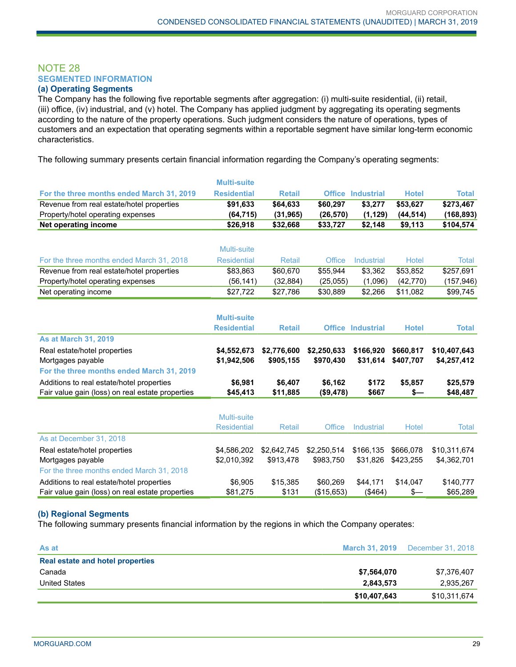## NOTE 28 **SEGMENTED INFORMATION**

#### **(a) Operating Segments**

The Company has the following five reportable segments after aggregation: (i) multi-suite residential, (ii) retail, (iii) office, (iv) industrial, and (v) hotel. The Company has applied judgment by aggregating its operating segments according to the nature of the property operations. Such judgment considers the nature of operations, types of customers and an expectation that operating segments within a reportable segment have similar long-term economic characteristics.

The following summary presents certain financial information regarding the Company's operating segments:

|                                                  | <b>Multi-suite</b> |               |               |                          |              |              |
|--------------------------------------------------|--------------------|---------------|---------------|--------------------------|--------------|--------------|
| For the three months ended March 31, 2019        | <b>Residential</b> | <b>Retail</b> |               | <b>Office Industrial</b> | <b>Hotel</b> | <b>Total</b> |
| Revenue from real estate/hotel properties        | \$91,633           | \$64,633      | \$60,297      | \$3,277                  | \$53,627     | \$273,467    |
| Property/hotel operating expenses                | (64, 715)          | (31, 965)     | (26, 570)     | (1, 129)                 | (44, 514)    | (168, 893)   |
| Net operating income                             | \$26,918           | \$32,668      | \$33,727      | \$2,148                  | \$9,113      | \$104,574    |
|                                                  |                    |               |               |                          |              |              |
|                                                  | <b>Multi-suite</b> |               |               |                          |              |              |
| For the three months ended March 31, 2018        | <b>Residential</b> | Retail        | <b>Office</b> | <b>Industrial</b>        | Hotel        | <b>Total</b> |
| Revenue from real estate/hotel properties        | \$83,863           | \$60,670      | \$55,944      | \$3,362                  | \$53,852     | \$257,691    |
| Property/hotel operating expenses                | (56, 141)          | (32, 884)     | (25,055)      | (1,096)                  | (42, 770)    | (157, 946)   |
| Net operating income                             | \$27,722           | \$27,786      | \$30,889      | \$2,266                  | \$11,082     | \$99,745     |
|                                                  |                    |               |               |                          |              |              |
|                                                  | <b>Multi-suite</b> |               |               |                          |              |              |
|                                                  | <b>Residential</b> | <b>Retail</b> |               | <b>Office Industrial</b> | <b>Hotel</b> | <b>Total</b> |
| <b>As at March 31, 2019</b>                      |                    |               |               |                          |              |              |
| Real estate/hotel properties                     | \$4,552,673        | \$2,776,600   | \$2,250,633   | \$166,920                | \$660,817    | \$10,407,643 |
| Mortgages payable                                | \$1,942,506        | \$905,155     | \$970,430     | \$31,614                 | \$407,707    | \$4,257,412  |
| For the three months ended March 31, 2019        |                    |               |               |                          |              |              |
| Additions to real estate/hotel properties        | \$6,981            | \$6,407       | \$6,162       | \$172                    | \$5,857      | \$25,579     |
| Fair value gain (loss) on real estate properties | \$45,413           | \$11,885      | (\$9,478)     | \$667                    | \$—          | \$48,487     |
|                                                  |                    |               |               |                          |              |              |
|                                                  | Multi-suite        |               |               |                          |              |              |
|                                                  | <b>Residential</b> | Retail        | <b>Office</b> | <b>Industrial</b>        | <b>Hotel</b> | Total        |
| As at December 31, 2018                          |                    |               |               |                          |              |              |
| Real estate/hotel properties                     | \$4,586,202        | \$2,642,745   | \$2,250,514   | \$166.135                | \$666.078    | \$10,311,674 |
| Mortgages payable                                | \$2,010,392        | \$913,478     | \$983,750     | \$31,826                 | \$423,255    | \$4,362,701  |
| For the three months ended March 31, 2018        |                    |               |               |                          |              |              |
| Additions to real estate/hotel properties        | \$6,905            | \$15,385      | \$60,269      | \$44,171                 | \$14,047     | \$140,777    |

#### **(b) Regional Segments**

The following summary presents financial information by the regions in which the Company operates:

| As at                            | <b>March 31, 2019</b> | December 31, 2018 |
|----------------------------------|-----------------------|-------------------|
| Real estate and hotel properties |                       |                   |
| Canada                           | \$7,564,070           | \$7,376,407       |
| United States                    | 2,843,573             | 2,935,267         |
|                                  | \$10,407,643          | \$10,311,674      |

Fair value gain (loss) on real estate properties  $$81,275$   $$131$  (\$15,653) (\$464) \$— \$65,289